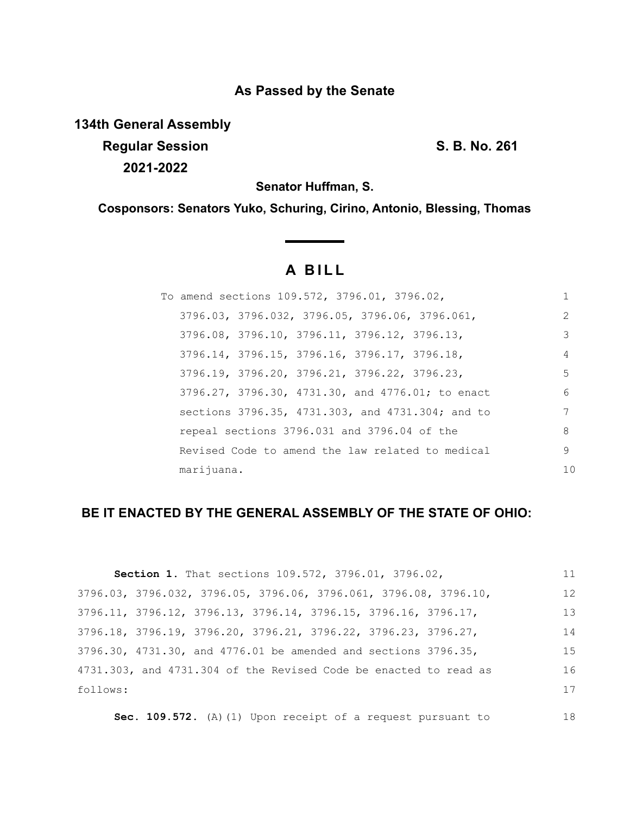## **As Passed by the Senate**

**134th General Assembly**

**Regular Session S. B. No. 261 2021-2022**

18

**Senator Huffman, S.**

**Cosponsors: Senators Yuko, Schuring, Cirino, Antonio, Blessing, Thomas**

# **A B I L L**

|            | To amend sections 109.572, 3796.01, 3796.02,     |    |
|------------|--------------------------------------------------|----|
|            | 3796.03, 3796.032, 3796.05, 3796.06, 3796.061,   | 2  |
|            | 3796.08, 3796.10, 3796.11, 3796.12, 3796.13,     | 3  |
|            | 3796.14, 3796.15, 3796.16, 3796.17, 3796.18,     | 4  |
|            | 3796.19, 3796.20, 3796.21, 3796.22, 3796.23,     | 5  |
|            | 3796.27, 3796.30, 4731.30, and 4776.01; to enact | 6  |
|            | sections 3796.35, 4731.303, and 4731.304; and to | 7  |
|            | repeal sections 3796.031 and 3796.04 of the      | 8  |
|            | Revised Code to amend the law related to medical | 9  |
| marijuana. |                                                  | 10 |

## **BE IT ENACTED BY THE GENERAL ASSEMBLY OF THE STATE OF OHIO:**

| Section 1. That sections 109.572, 3796.01, 3796.02,                                 | 11 |
|-------------------------------------------------------------------------------------|----|
| 3796.03, 3796.032, 3796.05, 3796.06, 3796.061, 3796.08, 3796.10,                    | 12 |
| $3796.11$ , $3796.12$ , $3796.13$ , $3796.14$ , $3796.15$ , $3796.16$ , $3796.17$ , | 13 |
| 3796.18, 3796.19, 3796.20, 3796.21, 3796.22, 3796.23, 3796.27,                      | 14 |
| 3796.30, 4731.30, and 4776.01 be amended and sections 3796.35,                      | 15 |
| 4731.303, and 4731.304 of the Revised Code be enacted to read as                    | 16 |
| follows:                                                                            | 17 |
|                                                                                     |    |

**Sec. 109.572.** (A)(1) Upon receipt of a request pursuant to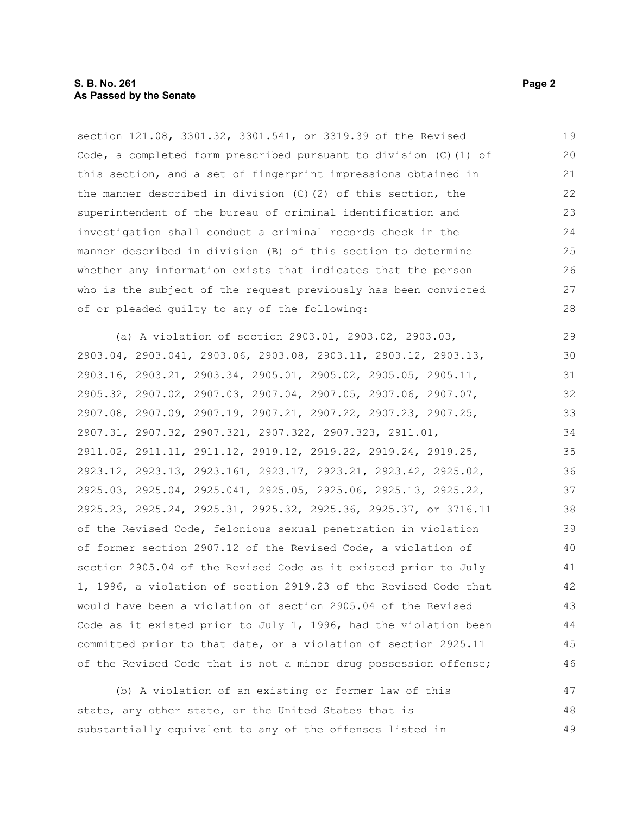#### **S. B. No. 261** Page 2 **As Passed by the Senate**

section 121.08, 3301.32, 3301.541, or 3319.39 of the Revised Code, a completed form prescribed pursuant to division (C)(1) of this section, and a set of fingerprint impressions obtained in the manner described in division (C)(2) of this section, the superintendent of the bureau of criminal identification and investigation shall conduct a criminal records check in the manner described in division (B) of this section to determine whether any information exists that indicates that the person who is the subject of the request previously has been convicted of or pleaded guilty to any of the following: 19 20 21 22 23 24 25 26 27 28

(a) A violation of section 2903.01, 2903.02, 2903.03, 2903.04, 2903.041, 2903.06, 2903.08, 2903.11, 2903.12, 2903.13, 2903.16, 2903.21, 2903.34, 2905.01, 2905.02, 2905.05, 2905.11, 2905.32, 2907.02, 2907.03, 2907.04, 2907.05, 2907.06, 2907.07, 2907.08, 2907.09, 2907.19, 2907.21, 2907.22, 2907.23, 2907.25, 2907.31, 2907.32, 2907.321, 2907.322, 2907.323, 2911.01, 2911.02, 2911.11, 2911.12, 2919.12, 2919.22, 2919.24, 2919.25, 2923.12, 2923.13, 2923.161, 2923.17, 2923.21, 2923.42, 2925.02, 2925.03, 2925.04, 2925.041, 2925.05, 2925.06, 2925.13, 2925.22, 2925.23, 2925.24, 2925.31, 2925.32, 2925.36, 2925.37, or 3716.11 of the Revised Code, felonious sexual penetration in violation of former section 2907.12 of the Revised Code, a violation of section 2905.04 of the Revised Code as it existed prior to July 1, 1996, a violation of section 2919.23 of the Revised Code that would have been a violation of section 2905.04 of the Revised Code as it existed prior to July 1, 1996, had the violation been committed prior to that date, or a violation of section 2925.11 of the Revised Code that is not a minor drug possession offense; 29 30 31 32 33 34 35 36 37 38 39 40 41 42 43 44 45 46

(b) A violation of an existing or former law of this state, any other state, or the United States that is substantially equivalent to any of the offenses listed in 47 48 49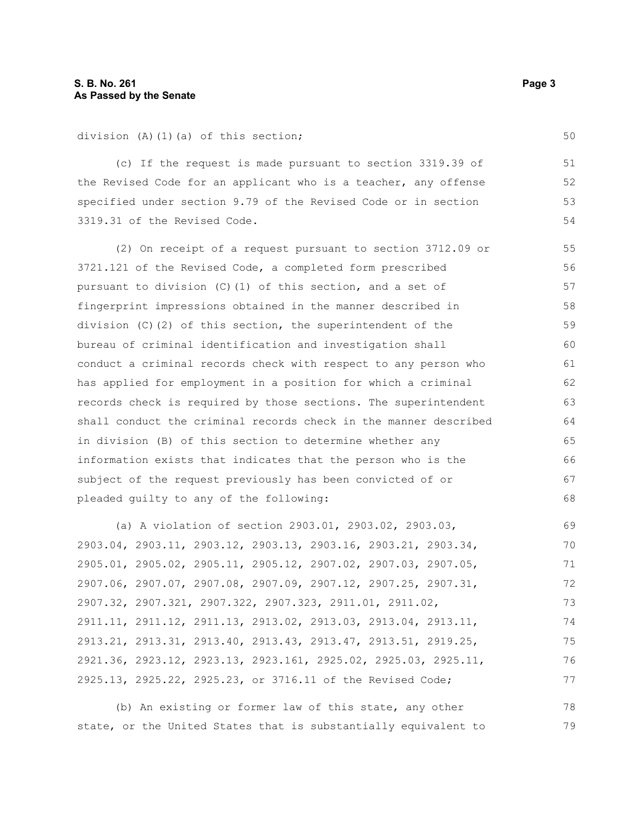division (A)(1)(a) of this section;

(c) If the request is made pursuant to section 3319.39 of the Revised Code for an applicant who is a teacher, any offense specified under section 9.79 of the Revised Code or in section 3319.31 of the Revised Code.

(2) On receipt of a request pursuant to section 3712.09 or 3721.121 of the Revised Code, a completed form prescribed pursuant to division (C)(1) of this section, and a set of fingerprint impressions obtained in the manner described in division  $(C)$  (2) of this section, the superintendent of the bureau of criminal identification and investigation shall conduct a criminal records check with respect to any person who has applied for employment in a position for which a criminal records check is required by those sections. The superintendent shall conduct the criminal records check in the manner described in division (B) of this section to determine whether any information exists that indicates that the person who is the subject of the request previously has been convicted of or pleaded guilty to any of the following: 55 56 57 58 59 60 61 62 63 64 65 66 67 68

(a) A violation of section 2903.01, 2903.02, 2903.03, 2903.04, 2903.11, 2903.12, 2903.13, 2903.16, 2903.21, 2903.34, 2905.01, 2905.02, 2905.11, 2905.12, 2907.02, 2907.03, 2907.05, 2907.06, 2907.07, 2907.08, 2907.09, 2907.12, 2907.25, 2907.31, 2907.32, 2907.321, 2907.322, 2907.323, 2911.01, 2911.02, 2911.11, 2911.12, 2911.13, 2913.02, 2913.03, 2913.04, 2913.11, 2913.21, 2913.31, 2913.40, 2913.43, 2913.47, 2913.51, 2919.25, 2921.36, 2923.12, 2923.13, 2923.161, 2925.02, 2925.03, 2925.11, 2925.13, 2925.22, 2925.23, or 3716.11 of the Revised Code; 69 70 71 72 73 74 75 76 77

(b) An existing or former law of this state, any other state, or the United States that is substantially equivalent to 78 79

50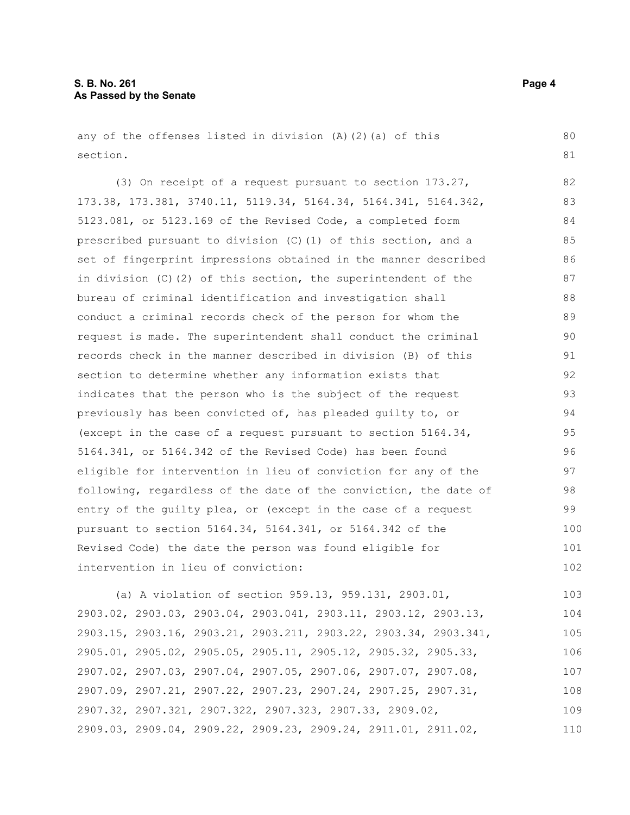any of the offenses listed in division (A)(2)(a) of this section.

(3) On receipt of a request pursuant to section 173.27, 173.38, 173.381, 3740.11, 5119.34, 5164.34, 5164.341, 5164.342, 5123.081, or 5123.169 of the Revised Code, a completed form prescribed pursuant to division (C)(1) of this section, and a set of fingerprint impressions obtained in the manner described in division (C)(2) of this section, the superintendent of the bureau of criminal identification and investigation shall conduct a criminal records check of the person for whom the request is made. The superintendent shall conduct the criminal records check in the manner described in division (B) of this section to determine whether any information exists that indicates that the person who is the subject of the request previously has been convicted of, has pleaded guilty to, or (except in the case of a request pursuant to section 5164.34, 5164.341, or 5164.342 of the Revised Code) has been found eligible for intervention in lieu of conviction for any of the following, regardless of the date of the conviction, the date of entry of the guilty plea, or (except in the case of a request pursuant to section 5164.34, 5164.341, or 5164.342 of the Revised Code) the date the person was found eligible for intervention in lieu of conviction: 82 83 84 85 86 87 88 89 90 91 92 93 94 95 96 97 98 99 100 101 102

(a) A violation of section 959.13, 959.131, 2903.01, 2903.02, 2903.03, 2903.04, 2903.041, 2903.11, 2903.12, 2903.13, 2903.15, 2903.16, 2903.21, 2903.211, 2903.22, 2903.34, 2903.341, 2905.01, 2905.02, 2905.05, 2905.11, 2905.12, 2905.32, 2905.33, 2907.02, 2907.03, 2907.04, 2907.05, 2907.06, 2907.07, 2907.08, 2907.09, 2907.21, 2907.22, 2907.23, 2907.24, 2907.25, 2907.31, 2907.32, 2907.321, 2907.322, 2907.323, 2907.33, 2909.02, 2909.03, 2909.04, 2909.22, 2909.23, 2909.24, 2911.01, 2911.02, 103 104 105 106 107 108 109 110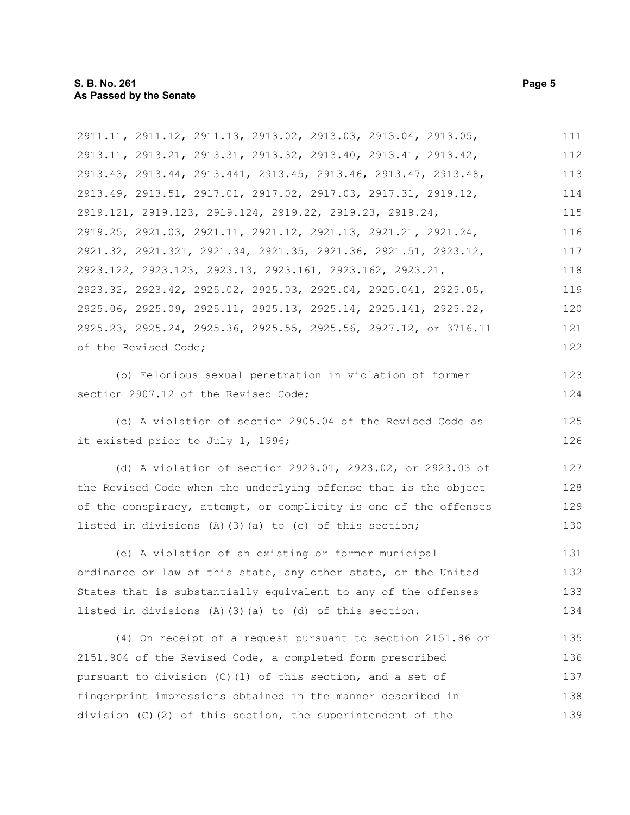2911.11, 2911.12, 2911.13, 2913.02, 2913.03, 2913.04, 2913.05, 2913.11, 2913.21, 2913.31, 2913.32, 2913.40, 2913.41, 2913.42, 2913.43, 2913.44, 2913.441, 2913.45, 2913.46, 2913.47, 2913.48, 2913.49, 2913.51, 2917.01, 2917.02, 2917.03, 2917.31, 2919.12, 2919.121, 2919.123, 2919.124, 2919.22, 2919.23, 2919.24, 2919.25, 2921.03, 2921.11, 2921.12, 2921.13, 2921.21, 2921.24, 2921.32, 2921.321, 2921.34, 2921.35, 2921.36, 2921.51, 2923.12, 2923.122, 2923.123, 2923.13, 2923.161, 2923.162, 2923.21, 2923.32, 2923.42, 2925.02, 2925.03, 2925.04, 2925.041, 2925.05, 2925.06, 2925.09, 2925.11, 2925.13, 2925.14, 2925.141, 2925.22, 2925.23, 2925.24, 2925.36, 2925.55, 2925.56, 2927.12, or 3716.11 of the Revised Code; 111 112 113 114 115 116 117 118 119 120 121 122

(b) Felonious sexual penetration in violation of former section 2907.12 of the Revised Code;

(c) A violation of section 2905.04 of the Revised Code as it existed prior to July 1, 1996;

(d) A violation of section 2923.01, 2923.02, or 2923.03 of the Revised Code when the underlying offense that is the object of the conspiracy, attempt, or complicity is one of the offenses listed in divisions (A)(3)(a) to (c) of this section; 127 128 129 130

(e) A violation of an existing or former municipal ordinance or law of this state, any other state, or the United States that is substantially equivalent to any of the offenses listed in divisions (A)(3)(a) to (d) of this section. 131 132 133 134

(4) On receipt of a request pursuant to section 2151.86 or 2151.904 of the Revised Code, a completed form prescribed pursuant to division (C)(1) of this section, and a set of fingerprint impressions obtained in the manner described in division (C)(2) of this section, the superintendent of the 135 136 137 138 139

123 124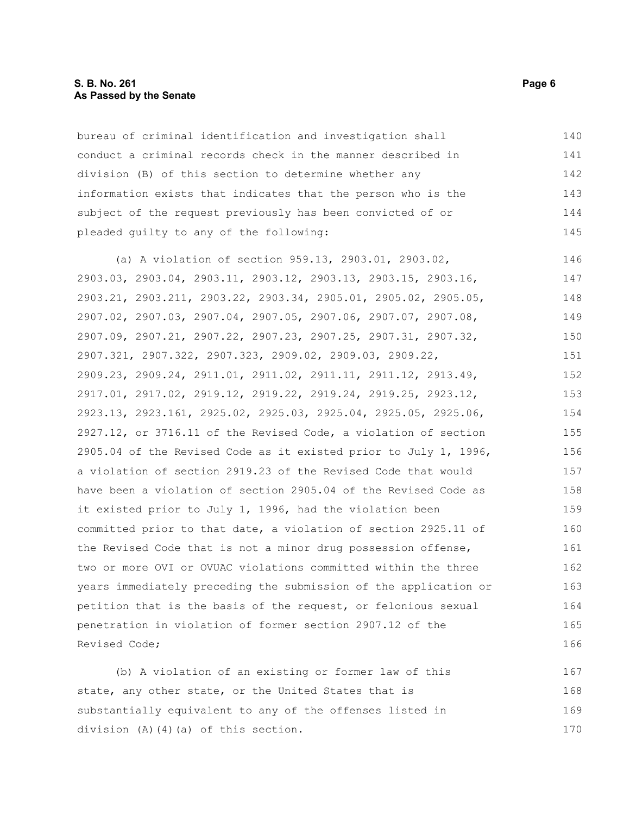#### **S. B. No. 261** Page 6 **As Passed by the Senate**

bureau of criminal identification and investigation shall conduct a criminal records check in the manner described in division (B) of this section to determine whether any information exists that indicates that the person who is the subject of the request previously has been convicted of or pleaded guilty to any of the following: 140 141 142 143 144 145

(a) A violation of section 959.13, 2903.01, 2903.02, 2903.03, 2903.04, 2903.11, 2903.12, 2903.13, 2903.15, 2903.16, 2903.21, 2903.211, 2903.22, 2903.34, 2905.01, 2905.02, 2905.05, 2907.02, 2907.03, 2907.04, 2907.05, 2907.06, 2907.07, 2907.08, 2907.09, 2907.21, 2907.22, 2907.23, 2907.25, 2907.31, 2907.32, 2907.321, 2907.322, 2907.323, 2909.02, 2909.03, 2909.22, 2909.23, 2909.24, 2911.01, 2911.02, 2911.11, 2911.12, 2913.49, 2917.01, 2917.02, 2919.12, 2919.22, 2919.24, 2919.25, 2923.12, 2923.13, 2923.161, 2925.02, 2925.03, 2925.04, 2925.05, 2925.06, 2927.12, or 3716.11 of the Revised Code, a violation of section 2905.04 of the Revised Code as it existed prior to July 1, 1996, a violation of section 2919.23 of the Revised Code that would have been a violation of section 2905.04 of the Revised Code as it existed prior to July 1, 1996, had the violation been committed prior to that date, a violation of section 2925.11 of the Revised Code that is not a minor drug possession offense, two or more OVI or OVUAC violations committed within the three years immediately preceding the submission of the application or petition that is the basis of the request, or felonious sexual penetration in violation of former section 2907.12 of the Revised Code; 146 147 148 149 150 151 152 153 154 155 156 157 158 159 160 161 162 163 164 165 166

(b) A violation of an existing or former law of this state, any other state, or the United States that is substantially equivalent to any of the offenses listed in division (A)(4)(a) of this section. 167 168 169 170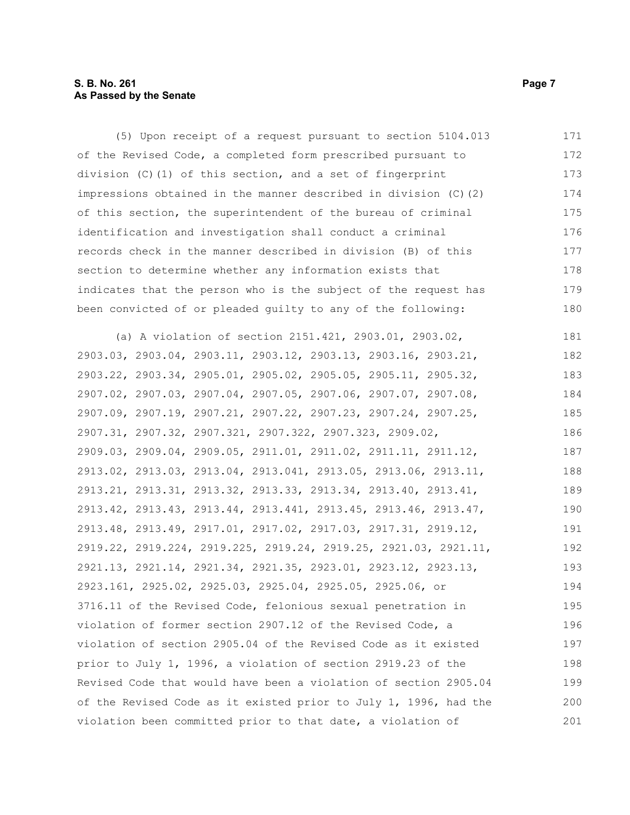#### **S. B. No. 261** Page 7 **As Passed by the Senate**

(5) Upon receipt of a request pursuant to section 5104.013 of the Revised Code, a completed form prescribed pursuant to division (C)(1) of this section, and a set of fingerprint impressions obtained in the manner described in division (C)(2) of this section, the superintendent of the bureau of criminal identification and investigation shall conduct a criminal records check in the manner described in division (B) of this section to determine whether any information exists that indicates that the person who is the subject of the request has been convicted of or pleaded guilty to any of the following: 171 172 173 174 175 176 177 178 179 180

(a) A violation of section 2151.421, 2903.01, 2903.02, 2903.03, 2903.04, 2903.11, 2903.12, 2903.13, 2903.16, 2903.21, 2903.22, 2903.34, 2905.01, 2905.02, 2905.05, 2905.11, 2905.32, 2907.02, 2907.03, 2907.04, 2907.05, 2907.06, 2907.07, 2907.08, 2907.09, 2907.19, 2907.21, 2907.22, 2907.23, 2907.24, 2907.25, 2907.31, 2907.32, 2907.321, 2907.322, 2907.323, 2909.02, 2909.03, 2909.04, 2909.05, 2911.01, 2911.02, 2911.11, 2911.12, 2913.02, 2913.03, 2913.04, 2913.041, 2913.05, 2913.06, 2913.11, 2913.21, 2913.31, 2913.32, 2913.33, 2913.34, 2913.40, 2913.41, 2913.42, 2913.43, 2913.44, 2913.441, 2913.45, 2913.46, 2913.47, 2913.48, 2913.49, 2917.01, 2917.02, 2917.03, 2917.31, 2919.12, 2919.22, 2919.224, 2919.225, 2919.24, 2919.25, 2921.03, 2921.11, 2921.13, 2921.14, 2921.34, 2921.35, 2923.01, 2923.12, 2923.13, 2923.161, 2925.02, 2925.03, 2925.04, 2925.05, 2925.06, or 3716.11 of the Revised Code, felonious sexual penetration in violation of former section 2907.12 of the Revised Code, a violation of section 2905.04 of the Revised Code as it existed prior to July 1, 1996, a violation of section 2919.23 of the Revised Code that would have been a violation of section 2905.04 of the Revised Code as it existed prior to July 1, 1996, had the violation been committed prior to that date, a violation of 181 182 183 184 185 186 187 188 189 190 191 192 193 194 195 196 197 198 199 200 201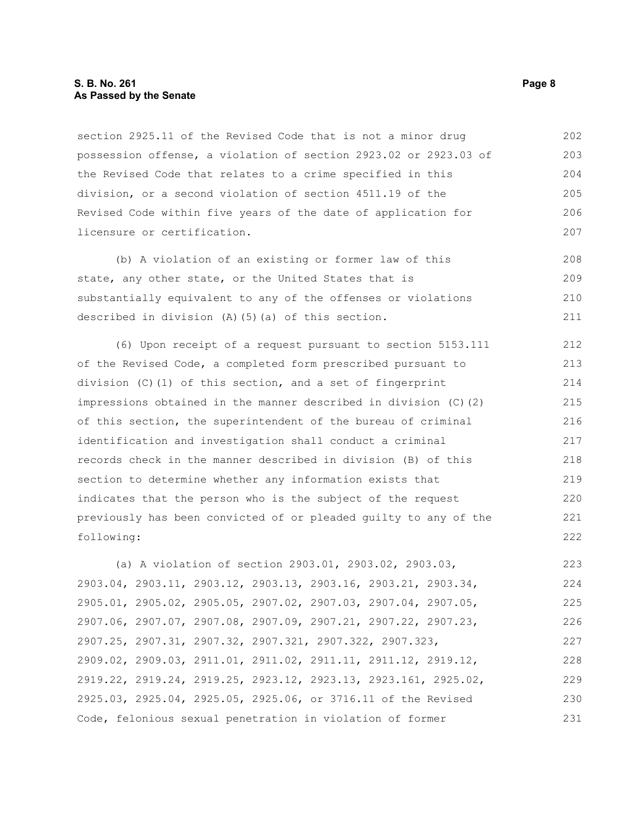#### **S. B. No. 261** Page 8 **As Passed by the Senate**

section 2925.11 of the Revised Code that is not a minor drug possession offense, a violation of section 2923.02 or 2923.03 of the Revised Code that relates to a crime specified in this division, or a second violation of section 4511.19 of the Revised Code within five years of the date of application for licensure or certification. 202 203 204 205 206 207

(b) A violation of an existing or former law of this state, any other state, or the United States that is substantially equivalent to any of the offenses or violations described in division (A)(5)(a) of this section. 208 209 210 211

(6) Upon receipt of a request pursuant to section 5153.111 of the Revised Code, a completed form prescribed pursuant to division (C)(1) of this section, and a set of fingerprint impressions obtained in the manner described in division (C)(2) of this section, the superintendent of the bureau of criminal identification and investigation shall conduct a criminal records check in the manner described in division (B) of this section to determine whether any information exists that indicates that the person who is the subject of the request previously has been convicted of or pleaded guilty to any of the following: 212 213 214 215 216 217 218 219 220 221 222

(a) A violation of section 2903.01, 2903.02, 2903.03, 2903.04, 2903.11, 2903.12, 2903.13, 2903.16, 2903.21, 2903.34, 2905.01, 2905.02, 2905.05, 2907.02, 2907.03, 2907.04, 2907.05, 2907.06, 2907.07, 2907.08, 2907.09, 2907.21, 2907.22, 2907.23, 2907.25, 2907.31, 2907.32, 2907.321, 2907.322, 2907.323, 2909.02, 2909.03, 2911.01, 2911.02, 2911.11, 2911.12, 2919.12, 2919.22, 2919.24, 2919.25, 2923.12, 2923.13, 2923.161, 2925.02, 2925.03, 2925.04, 2925.05, 2925.06, or 3716.11 of the Revised Code, felonious sexual penetration in violation of former 223 224 225 226 227 228 229 230 231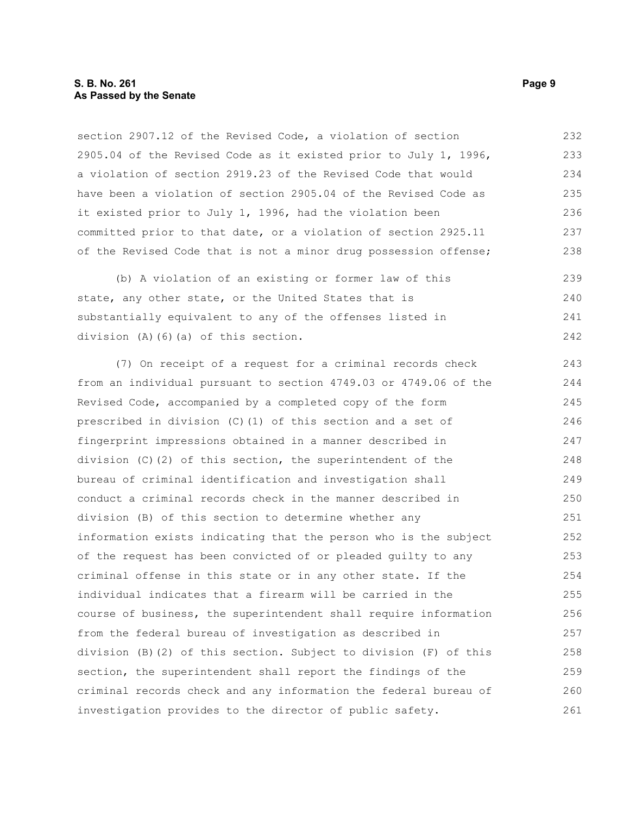#### **S. B. No. 261** Page 9 **As Passed by the Senate**

section 2907.12 of the Revised Code, a violation of section 2905.04 of the Revised Code as it existed prior to July 1, 1996, a violation of section 2919.23 of the Revised Code that would have been a violation of section 2905.04 of the Revised Code as it existed prior to July 1, 1996, had the violation been committed prior to that date, or a violation of section 2925.11 of the Revised Code that is not a minor drug possession offense; 232 233 234 235 236 237 238

(b) A violation of an existing or former law of this state, any other state, or the United States that is substantially equivalent to any of the offenses listed in division (A)(6)(a) of this section. 239  $240$ 241 242

(7) On receipt of a request for a criminal records check from an individual pursuant to section 4749.03 or 4749.06 of the Revised Code, accompanied by a completed copy of the form prescribed in division (C)(1) of this section and a set of fingerprint impressions obtained in a manner described in division (C)(2) of this section, the superintendent of the bureau of criminal identification and investigation shall conduct a criminal records check in the manner described in division (B) of this section to determine whether any information exists indicating that the person who is the subject of the request has been convicted of or pleaded guilty to any criminal offense in this state or in any other state. If the individual indicates that a firearm will be carried in the course of business, the superintendent shall require information from the federal bureau of investigation as described in division (B)(2) of this section. Subject to division (F) of this section, the superintendent shall report the findings of the criminal records check and any information the federal bureau of investigation provides to the director of public safety. 243 244 245 246 247 248 249 250 251 252 253 254 255 256 257 258 259 260 261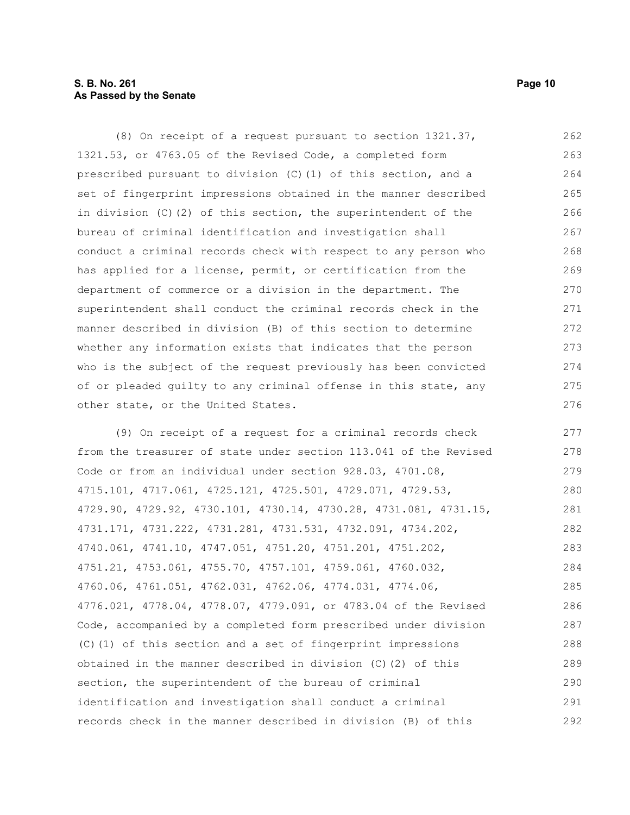#### **S. B. No. 261 Page 10 As Passed by the Senate**

(8) On receipt of a request pursuant to section 1321.37, 1321.53, or 4763.05 of the Revised Code, a completed form prescribed pursuant to division (C)(1) of this section, and a set of fingerprint impressions obtained in the manner described in division (C)(2) of this section, the superintendent of the bureau of criminal identification and investigation shall conduct a criminal records check with respect to any person who has applied for a license, permit, or certification from the department of commerce or a division in the department. The superintendent shall conduct the criminal records check in the manner described in division (B) of this section to determine whether any information exists that indicates that the person who is the subject of the request previously has been convicted of or pleaded guilty to any criminal offense in this state, any other state, or the United States. 262 263 264 265 266 267 268 269 270 271 272 273 274 275 276

(9) On receipt of a request for a criminal records check from the treasurer of state under section 113.041 of the Revised Code or from an individual under section 928.03, 4701.08, 4715.101, 4717.061, 4725.121, 4725.501, 4729.071, 4729.53, 4729.90, 4729.92, 4730.101, 4730.14, 4730.28, 4731.081, 4731.15, 4731.171, 4731.222, 4731.281, 4731.531, 4732.091, 4734.202, 4740.061, 4741.10, 4747.051, 4751.20, 4751.201, 4751.202, 4751.21, 4753.061, 4755.70, 4757.101, 4759.061, 4760.032, 4760.06, 4761.051, 4762.031, 4762.06, 4774.031, 4774.06, 4776.021, 4778.04, 4778.07, 4779.091, or 4783.04 of the Revised Code, accompanied by a completed form prescribed under division (C)(1) of this section and a set of fingerprint impressions obtained in the manner described in division (C)(2) of this section, the superintendent of the bureau of criminal identification and investigation shall conduct a criminal records check in the manner described in division (B) of this 277 278 279 280 281 282 283 284 285 286 287 288 289 290 291 292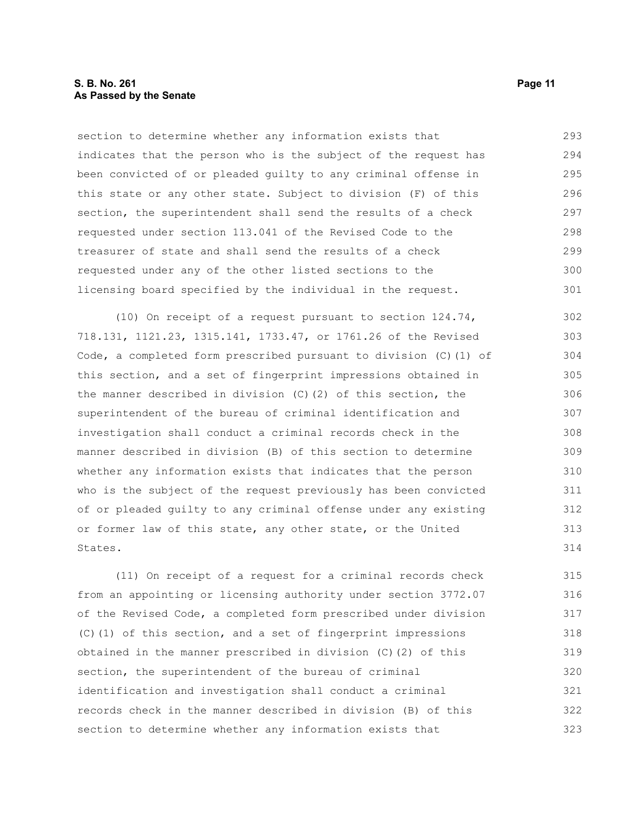#### **S. B. No. 261 Page 11 As Passed by the Senate**

section to determine whether any information exists that indicates that the person who is the subject of the request has been convicted of or pleaded guilty to any criminal offense in this state or any other state. Subject to division (F) of this section, the superintendent shall send the results of a check requested under section 113.041 of the Revised Code to the treasurer of state and shall send the results of a check requested under any of the other listed sections to the licensing board specified by the individual in the request. 293 294 295 296 297 298 299 300 301

(10) On receipt of a request pursuant to section 124.74, 718.131, 1121.23, 1315.141, 1733.47, or 1761.26 of the Revised Code, a completed form prescribed pursuant to division (C)(1) of this section, and a set of fingerprint impressions obtained in the manner described in division  $(C)$  (2) of this section, the superintendent of the bureau of criminal identification and investigation shall conduct a criminal records check in the manner described in division (B) of this section to determine whether any information exists that indicates that the person who is the subject of the request previously has been convicted of or pleaded guilty to any criminal offense under any existing or former law of this state, any other state, or the United States. 302 303 304 305 306 307 308 309 310 311 312 313 314

(11) On receipt of a request for a criminal records check from an appointing or licensing authority under section 3772.07 of the Revised Code, a completed form prescribed under division (C)(1) of this section, and a set of fingerprint impressions obtained in the manner prescribed in division (C)(2) of this section, the superintendent of the bureau of criminal identification and investigation shall conduct a criminal records check in the manner described in division (B) of this section to determine whether any information exists that 315 316 317 318 319 320 321 322 323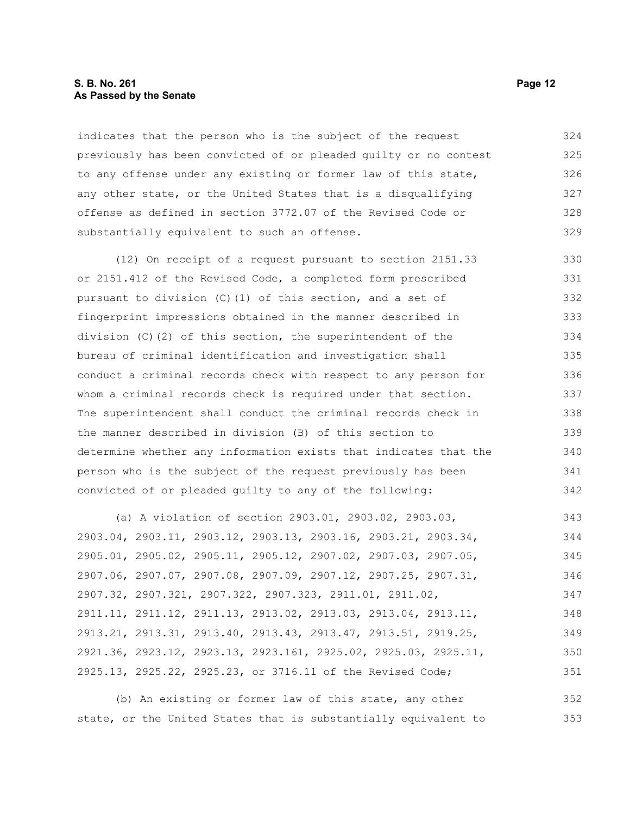#### **S. B. No. 261 Page 12 As Passed by the Senate**

indicates that the person who is the subject of the request previously has been convicted of or pleaded guilty or no contest to any offense under any existing or former law of this state, any other state, or the United States that is a disqualifying offense as defined in section 3772.07 of the Revised Code or substantially equivalent to such an offense. 324 325 326 327 328 329

(12) On receipt of a request pursuant to section 2151.33 or 2151.412 of the Revised Code, a completed form prescribed pursuant to division  $(C)$  (1) of this section, and a set of fingerprint impressions obtained in the manner described in division (C)(2) of this section, the superintendent of the bureau of criminal identification and investigation shall conduct a criminal records check with respect to any person for whom a criminal records check is required under that section. The superintendent shall conduct the criminal records check in the manner described in division (B) of this section to determine whether any information exists that indicates that the person who is the subject of the request previously has been convicted of or pleaded guilty to any of the following: 330 331 332 333 334 335 336 337 338 339 340 341 342

(a) A violation of section 2903.01, 2903.02, 2903.03, 2903.04, 2903.11, 2903.12, 2903.13, 2903.16, 2903.21, 2903.34, 2905.01, 2905.02, 2905.11, 2905.12, 2907.02, 2907.03, 2907.05, 2907.06, 2907.07, 2907.08, 2907.09, 2907.12, 2907.25, 2907.31, 2907.32, 2907.321, 2907.322, 2907.323, 2911.01, 2911.02, 2911.11, 2911.12, 2911.13, 2913.02, 2913.03, 2913.04, 2913.11, 2913.21, 2913.31, 2913.40, 2913.43, 2913.47, 2913.51, 2919.25, 2921.36, 2923.12, 2923.13, 2923.161, 2925.02, 2925.03, 2925.11, 2925.13, 2925.22, 2925.23, or 3716.11 of the Revised Code; 343 344 345 346 347 348 349 350 351

(b) An existing or former law of this state, any other state, or the United States that is substantially equivalent to 352 353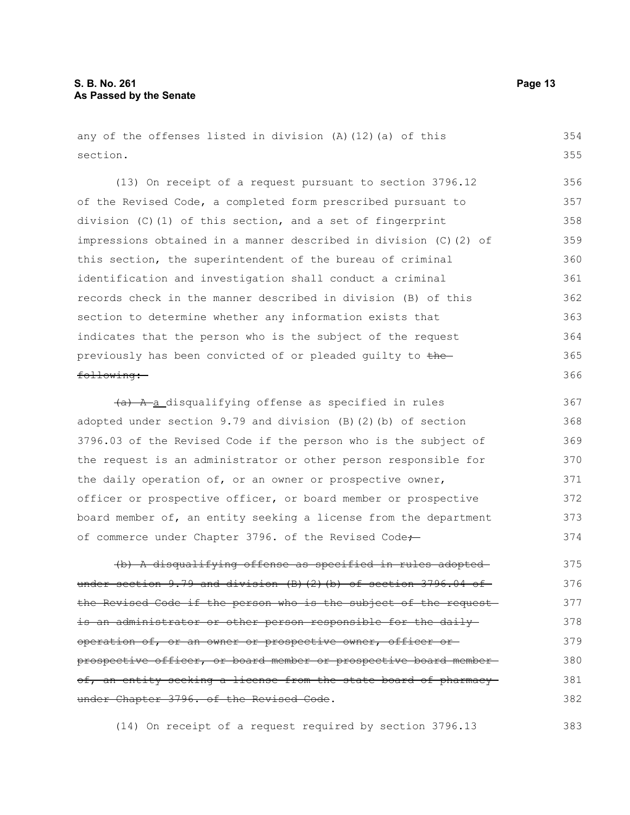any of the offenses listed in division (A)(12)(a) of this section.

(13) On receipt of a request pursuant to section 3796.12 of the Revised Code, a completed form prescribed pursuant to division (C)(1) of this section, and a set of fingerprint impressions obtained in a manner described in division (C)(2) of this section, the superintendent of the bureau of criminal identification and investigation shall conduct a criminal records check in the manner described in division (B) of this section to determine whether any information exists that indicates that the person who is the subject of the request previously has been convicted of or pleaded guilty to thefollowing: 356 357 358 359 360 361 362 363 364 365 366

(a) A a disqualifying offense as specified in rules adopted under section 9.79 and division (B)(2)(b) of section 3796.03 of the Revised Code if the person who is the subject of the request is an administrator or other person responsible for the daily operation of, or an owner or prospective owner, officer or prospective officer, or board member or prospective board member of, an entity seeking a license from the department of commerce under Chapter 3796. of the Revised Code+ 367 368 369 370 371 372 373 374

(b) A disqualifying offense as specified in rules adopted under section  $9.79$  and division (B)(2)(b) of section 3796.04 of the Revised Code if the person who is the subject of the request is an administrator or other person responsible for the daily operation of, or an owner or prospective owner, officer or prospective officer, or board member or prospective board member of, an entity seeking a license from the state board of pharmacyunder Chapter 3796. of the Revised Code. 375 376 377 378 379 380 381 382

(14) On receipt of a request required by section 3796.13

354 355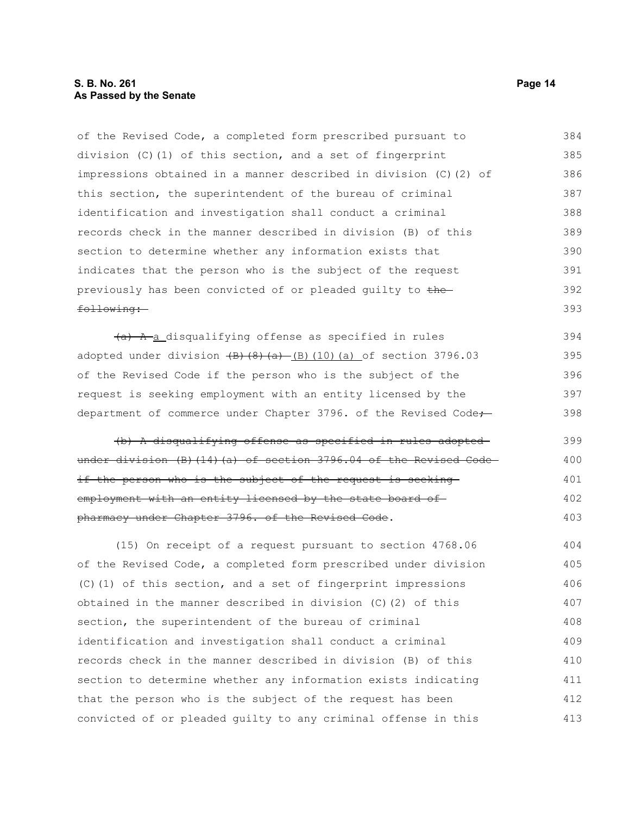#### **S. B. No. 261 Page 14 As Passed by the Senate**

of the Revised Code, a completed form prescribed pursuant to division (C)(1) of this section, and a set of fingerprint impressions obtained in a manner described in division (C)(2) of this section, the superintendent of the bureau of criminal identification and investigation shall conduct a criminal records check in the manner described in division (B) of this section to determine whether any information exists that indicates that the person who is the subject of the request previously has been convicted of or pleaded quilty to thefollowing: 384 385 386 387 388 389 390 391 392 393

 $(a)$  A a disqualifying offense as specified in rules adopted under division  $\left(\frac{B}{8}\right)\left(\frac{A}{8}\right)$  (B)(10)(a) of section 3796.03 of the Revised Code if the person who is the subject of the request is seeking employment with an entity licensed by the department of commerce under Chapter 3796. of the Revised Code-394 395 396 397 398

(b) A disqualifying offense as specified in rules adopted under division (B)(14)(a) of section 3796.04 of the Revised Codeif the person who is the subject of the request is seeking employment with an entity licensed by the state board ofpharmacy under Chapter 3796. of the Revised Code. 399 400 401 402 403

(15) On receipt of a request pursuant to section 4768.06 of the Revised Code, a completed form prescribed under division (C)(1) of this section, and a set of fingerprint impressions obtained in the manner described in division (C)(2) of this section, the superintendent of the bureau of criminal identification and investigation shall conduct a criminal records check in the manner described in division (B) of this section to determine whether any information exists indicating that the person who is the subject of the request has been convicted of or pleaded guilty to any criminal offense in this 404 405 406 407 408 409 410 411 412 413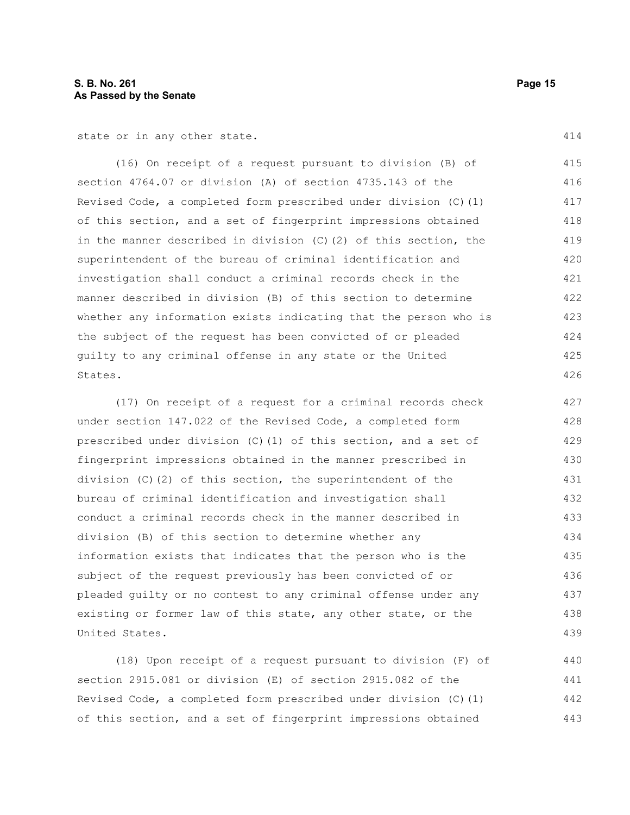state or in any other state.

(16) On receipt of a request pursuant to division (B) of section 4764.07 or division (A) of section 4735.143 of the Revised Code, a completed form prescribed under division (C)(1) of this section, and a set of fingerprint impressions obtained in the manner described in division (C)(2) of this section, the superintendent of the bureau of criminal identification and investigation shall conduct a criminal records check in the manner described in division (B) of this section to determine whether any information exists indicating that the person who is the subject of the request has been convicted of or pleaded guilty to any criminal offense in any state or the United States. 415 416 417 418 419 420 421 422 423 424 425 426

(17) On receipt of a request for a criminal records check under section 147.022 of the Revised Code, a completed form prescribed under division (C)(1) of this section, and a set of fingerprint impressions obtained in the manner prescribed in division  $(C)$  (2) of this section, the superintendent of the bureau of criminal identification and investigation shall conduct a criminal records check in the manner described in division (B) of this section to determine whether any information exists that indicates that the person who is the subject of the request previously has been convicted of or pleaded guilty or no contest to any criminal offense under any existing or former law of this state, any other state, or the United States. 427 428 429 430 431 432 433 434 435 436 437 438 439

(18) Upon receipt of a request pursuant to division (F) of section 2915.081 or division (E) of section 2915.082 of the Revised Code, a completed form prescribed under division (C)(1) of this section, and a set of fingerprint impressions obtained 440 441 442 443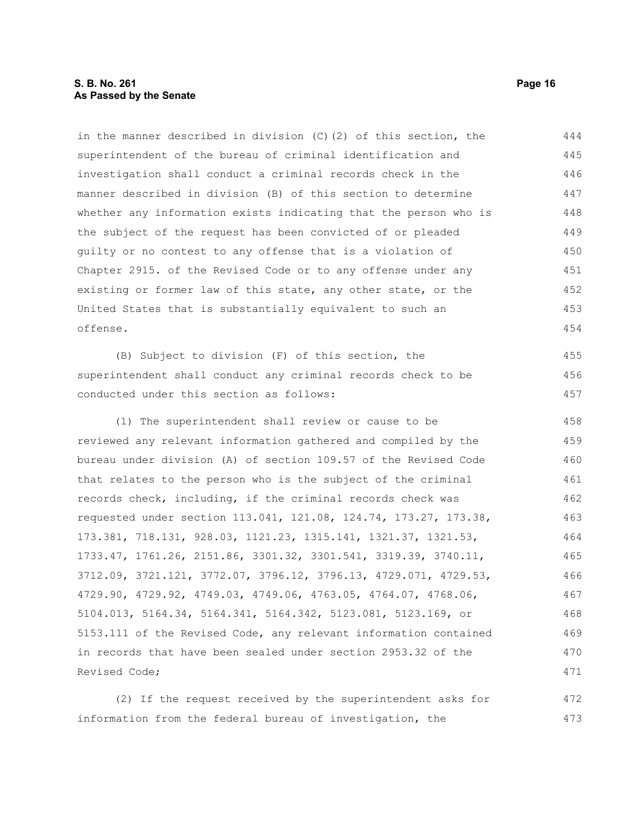#### **S. B. No. 261 Page 16 As Passed by the Senate**

in the manner described in division (C)(2) of this section, the superintendent of the bureau of criminal identification and investigation shall conduct a criminal records check in the manner described in division (B) of this section to determine whether any information exists indicating that the person who is the subject of the request has been convicted of or pleaded guilty or no contest to any offense that is a violation of Chapter 2915. of the Revised Code or to any offense under any existing or former law of this state, any other state, or the United States that is substantially equivalent to such an offense. 444 445 446 447 448 449 450 451 452 453 454

(B) Subject to division (F) of this section, the superintendent shall conduct any criminal records check to be conducted under this section as follows:

(1) The superintendent shall review or cause to be reviewed any relevant information gathered and compiled by the bureau under division (A) of section 109.57 of the Revised Code that relates to the person who is the subject of the criminal records check, including, if the criminal records check was requested under section 113.041, 121.08, 124.74, 173.27, 173.38, 173.381, 718.131, 928.03, 1121.23, 1315.141, 1321.37, 1321.53, 1733.47, 1761.26, 2151.86, 3301.32, 3301.541, 3319.39, 3740.11, 3712.09, 3721.121, 3772.07, 3796.12, 3796.13, 4729.071, 4729.53, 4729.90, 4729.92, 4749.03, 4749.06, 4763.05, 4764.07, 4768.06, 5104.013, 5164.34, 5164.341, 5164.342, 5123.081, 5123.169, or 5153.111 of the Revised Code, any relevant information contained in records that have been sealed under section 2953.32 of the Revised Code; 458 459 460 461 462 463 464 465 466 467 468 469 470 471

(2) If the request received by the superintendent asks for information from the federal bureau of investigation, the 472 473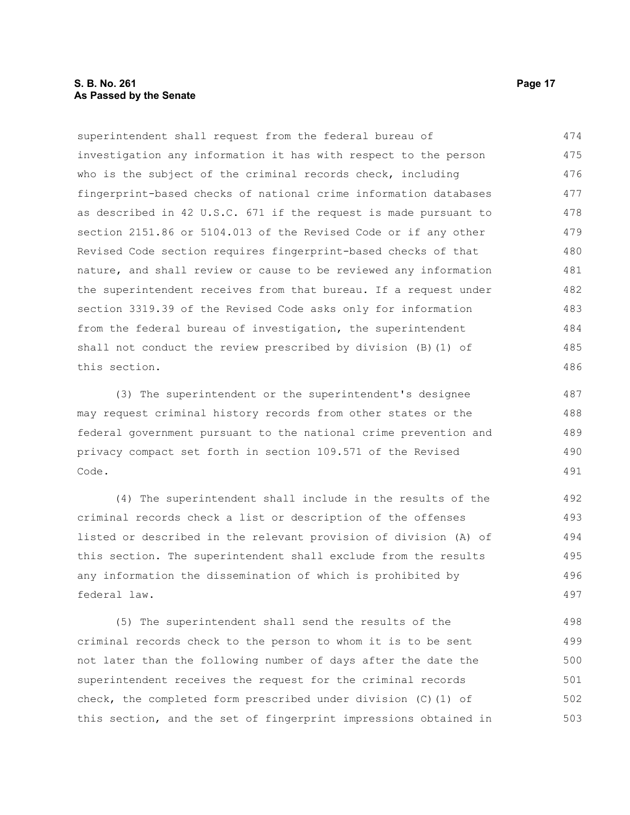#### **S. B. No. 261 Page 17 As Passed by the Senate**

superintendent shall request from the federal bureau of investigation any information it has with respect to the person who is the subject of the criminal records check, including fingerprint-based checks of national crime information databases as described in 42 U.S.C. 671 if the request is made pursuant to section 2151.86 or 5104.013 of the Revised Code or if any other Revised Code section requires fingerprint-based checks of that nature, and shall review or cause to be reviewed any information the superintendent receives from that bureau. If a request under section 3319.39 of the Revised Code asks only for information from the federal bureau of investigation, the superintendent shall not conduct the review prescribed by division (B)(1) of this section. 474 475 476 477 478 479 480 481 482 483 484 485 486

(3) The superintendent or the superintendent's designee may request criminal history records from other states or the federal government pursuant to the national crime prevention and privacy compact set forth in section 109.571 of the Revised Code.

(4) The superintendent shall include in the results of the criminal records check a list or description of the offenses listed or described in the relevant provision of division (A) of this section. The superintendent shall exclude from the results any information the dissemination of which is prohibited by federal law.

(5) The superintendent shall send the results of the criminal records check to the person to whom it is to be sent not later than the following number of days after the date the superintendent receives the request for the criminal records check, the completed form prescribed under division (C)(1) of this section, and the set of fingerprint impressions obtained in 498 499 500 501 502 503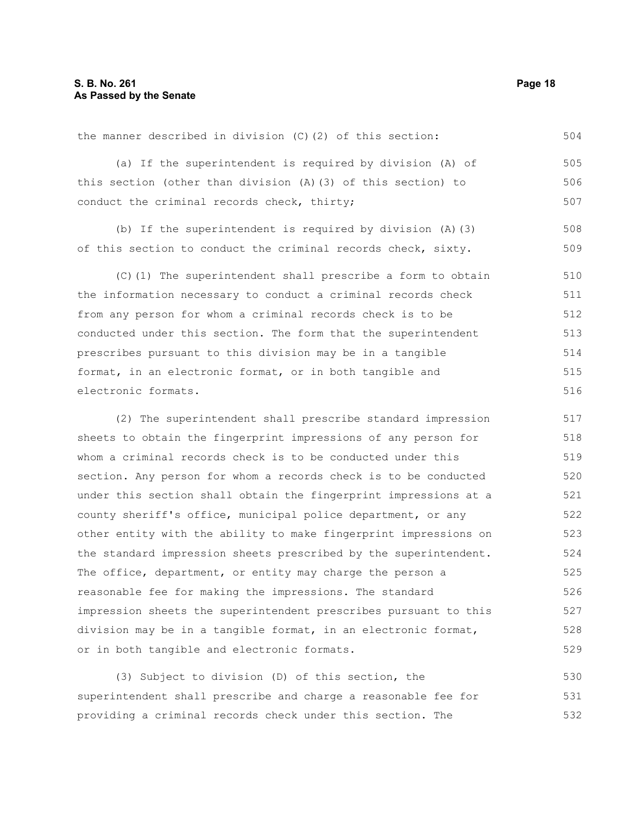the manner described in division (C)(2) of this section: (a) If the superintendent is required by division (A) of this section (other than division (A)(3) of this section) to conduct the criminal records check, thirty; (b) If the superintendent is required by division (A)(3) of this section to conduct the criminal records check, sixty. (C)(1) The superintendent shall prescribe a form to obtain the information necessary to conduct a criminal records check from any person for whom a criminal records check is to be conducted under this section. The form that the superintendent prescribes pursuant to this division may be in a tangible format, in an electronic format, or in both tangible and electronic formats. (2) The superintendent shall prescribe standard impression 504 505 506 507 508 509 510 511 512 513 514 515 516 517 518 519 520 521 522 523

sheets to obtain the fingerprint impressions of any person for whom a criminal records check is to be conducted under this section. Any person for whom a records check is to be conducted under this section shall obtain the fingerprint impressions at a county sheriff's office, municipal police department, or any other entity with the ability to make fingerprint impressions on the standard impression sheets prescribed by the superintendent. The office, department, or entity may charge the person a reasonable fee for making the impressions. The standard impression sheets the superintendent prescribes pursuant to this division may be in a tangible format, in an electronic format, or in both tangible and electronic formats. 524 525 526 527 528 529

(3) Subject to division (D) of this section, the superintendent shall prescribe and charge a reasonable fee for providing a criminal records check under this section. The 530 531 532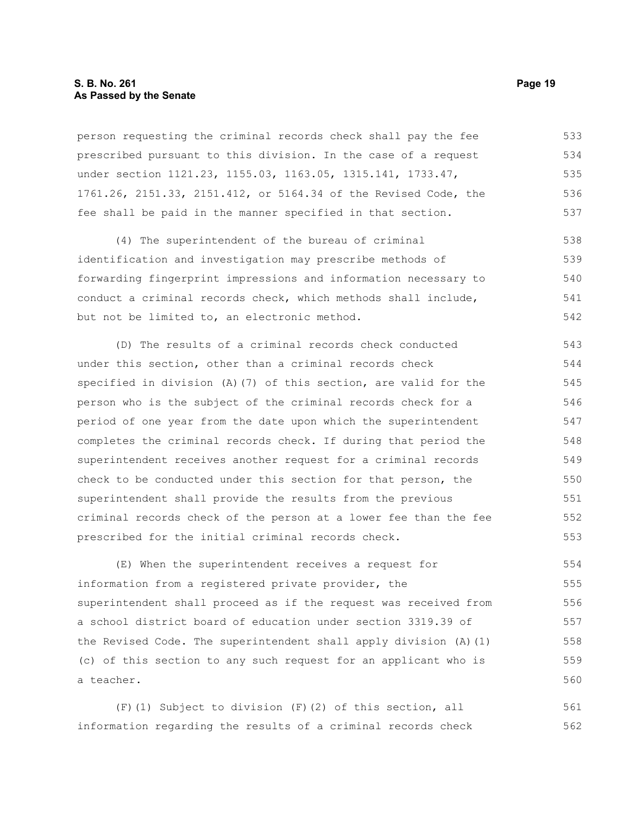#### **S. B. No. 261 Page 19 As Passed by the Senate**

person requesting the criminal records check shall pay the fee prescribed pursuant to this division. In the case of a request under section 1121.23, 1155.03, 1163.05, 1315.141, 1733.47, 1761.26, 2151.33, 2151.412, or 5164.34 of the Revised Code, the fee shall be paid in the manner specified in that section. 533 534 535 536 537

(4) The superintendent of the bureau of criminal identification and investigation may prescribe methods of forwarding fingerprint impressions and information necessary to conduct a criminal records check, which methods shall include, but not be limited to, an electronic method. 538 539 540 541 542

(D) The results of a criminal records check conducted under this section, other than a criminal records check specified in division (A)(7) of this section, are valid for the person who is the subject of the criminal records check for a period of one year from the date upon which the superintendent completes the criminal records check. If during that period the superintendent receives another request for a criminal records check to be conducted under this section for that person, the superintendent shall provide the results from the previous criminal records check of the person at a lower fee than the fee prescribed for the initial criminal records check. 543 544 545 546 547 548 549 550 551 552 553

(E) When the superintendent receives a request for information from a registered private provider, the superintendent shall proceed as if the request was received from a school district board of education under section 3319.39 of the Revised Code. The superintendent shall apply division (A)(1) (c) of this section to any such request for an applicant who is a teacher. 554 555 556 557 558 559 560

(F)(1) Subject to division (F)(2) of this section, all information regarding the results of a criminal records check 561 562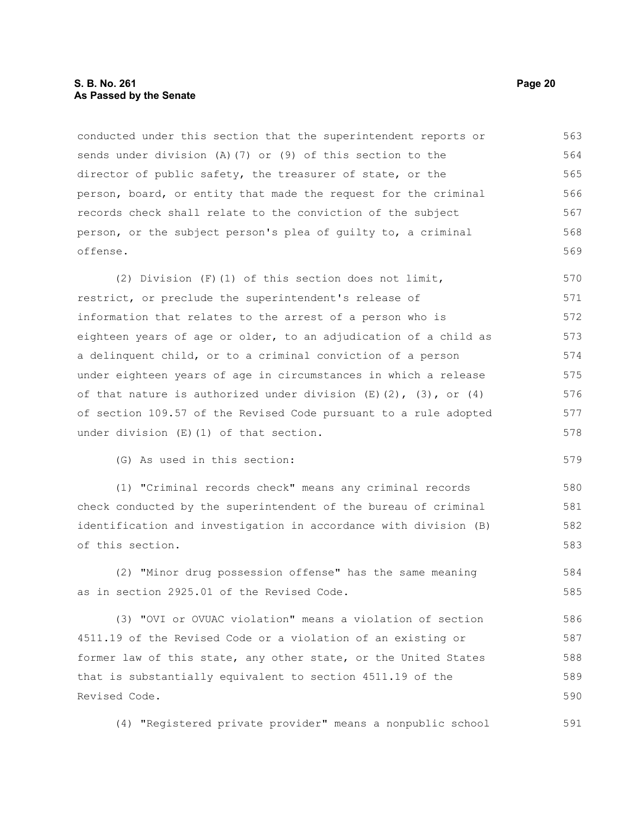#### **S. B. No. 261 Page 20 As Passed by the Senate**

conducted under this section that the superintendent reports or sends under division (A)(7) or (9) of this section to the director of public safety, the treasurer of state, or the person, board, or entity that made the request for the criminal records check shall relate to the conviction of the subject person, or the subject person's plea of guilty to, a criminal offense. 563 564 565 566 567 568 569

(2) Division (F)(1) of this section does not limit, restrict, or preclude the superintendent's release of information that relates to the arrest of a person who is eighteen years of age or older, to an adjudication of a child as a delinquent child, or to a criminal conviction of a person under eighteen years of age in circumstances in which a release of that nature is authorized under division  $(E)(2)$ ,  $(3)$ , or  $(4)$ of section 109.57 of the Revised Code pursuant to a rule adopted under division (E)(1) of that section. 570 571 572 573 574 575 576 577 578

(G) As used in this section:

(1) "Criminal records check" means any criminal records check conducted by the superintendent of the bureau of criminal identification and investigation in accordance with division (B) of this section. 580 581 582 583

(2) "Minor drug possession offense" has the same meaning as in section 2925.01 of the Revised Code. 584 585

(3) "OVI or OVUAC violation" means a violation of section 4511.19 of the Revised Code or a violation of an existing or former law of this state, any other state, or the United States that is substantially equivalent to section 4511.19 of the Revised Code. 586 587 588 589 590

(4) "Registered private provider" means a nonpublic school 591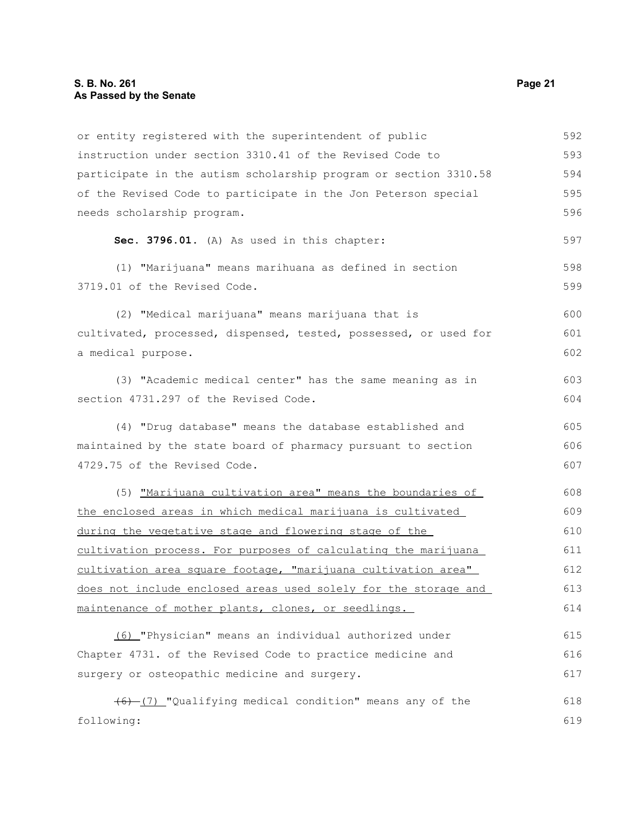| or entity registered with the superintendent of public           | 592 |
|------------------------------------------------------------------|-----|
| instruction under section 3310.41 of the Revised Code to         | 593 |
| participate in the autism scholarship program or section 3310.58 | 594 |
| of the Revised Code to participate in the Jon Peterson special   | 595 |
| needs scholarship program.                                       | 596 |
| Sec. 3796.01. (A) As used in this chapter:                       | 597 |
| (1) "Marijuana" means marihuana as defined in section            | 598 |
| 3719.01 of the Revised Code.                                     | 599 |
| (2) "Medical marijuana" means marijuana that is                  | 600 |
| cultivated, processed, dispensed, tested, possessed, or used for | 601 |
| a medical purpose.                                               | 602 |
| (3) "Academic medical center" has the same meaning as in         | 603 |
| section 4731.297 of the Revised Code.                            | 604 |
| (4) "Drug database" means the database established and           | 605 |
| maintained by the state board of pharmacy pursuant to section    | 606 |
| 4729.75 of the Revised Code.                                     | 607 |
| (5) "Marijuana cultivation area" means the boundaries of         | 608 |
| the enclosed areas in which medical marijuana is cultivated      | 609 |
| during the vegetative stage and flowering stage of the           | 610 |
| cultivation process. For purposes of calculating the marijuana   | 611 |
| cultivation area square footage, "marijuana cultivation area"    | 612 |
| does not include enclosed areas used solely for the storage and  | 613 |
| maintenance of mother plants, clones, or seedlings.              | 614 |
| (6) "Physician" means an individual authorized under             | 615 |
| Chapter 4731. of the Revised Code to practice medicine and       | 616 |
| surgery or osteopathic medicine and surgery.                     | 617 |
| (6) [7] "Qualifying medical condition" means any of the          | 618 |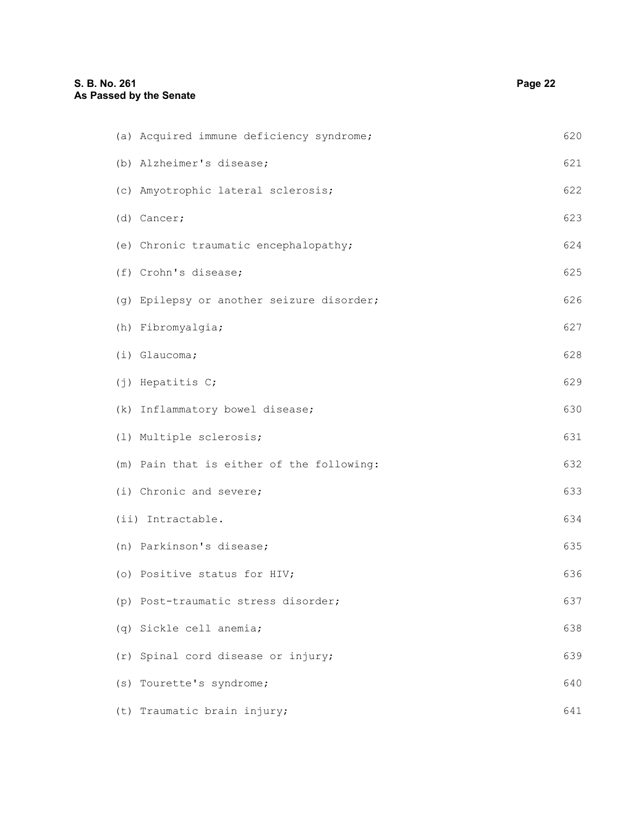| (a) Acquired immune deficiency syndrome;  | 620 |
|-------------------------------------------|-----|
| (b) Alzheimer's disease;                  | 621 |
| (c) Amyotrophic lateral sclerosis;        | 622 |
| (d) Cancer;                               | 623 |
| (e) Chronic traumatic encephalopathy;     | 624 |
| (f) Crohn's disease;                      | 625 |
| (g) Epilepsy or another seizure disorder; | 626 |
| (h) Fibromyalgia;                         | 627 |
| (i) Glaucoma;                             | 628 |
| (j) Hepatitis C;                          | 629 |
| (k) Inflammatory bowel disease;           | 630 |
| (1) Multiple sclerosis;                   | 631 |
| (m) Pain that is either of the following: | 632 |
| (i) Chronic and severe;                   | 633 |
| (ii) Intractable.                         | 634 |
| (n) Parkinson's disease;                  | 635 |
| (o) Positive status for HIV;              | 636 |
| (p) Post-traumatic stress disorder;       | 637 |
| (q) Sickle cell anemia;                   | 638 |
| (r) Spinal cord disease or injury;        | 639 |
| (s) Tourette's syndrome;                  | 640 |
| (t) Traumatic brain injury;               | 641 |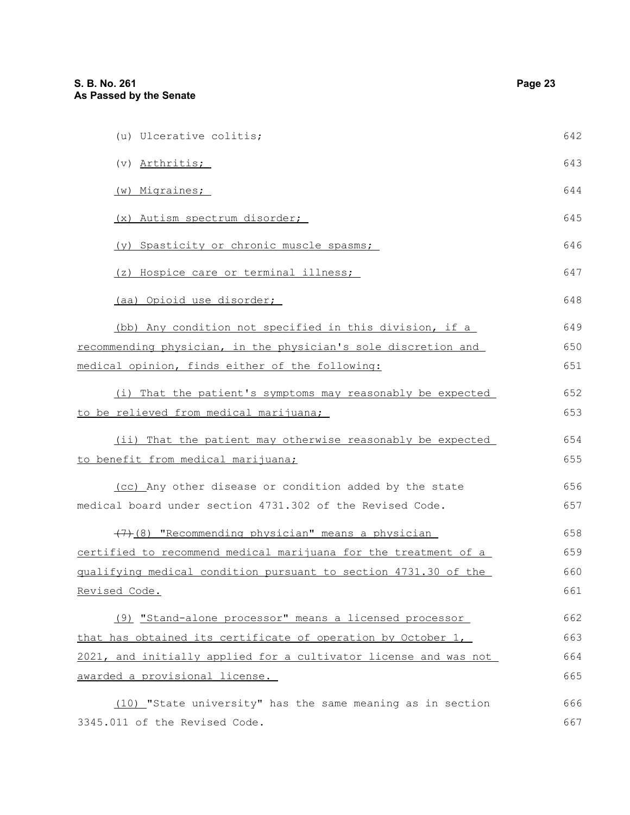| (u) Ulcerative colitis;                                          | 642 |
|------------------------------------------------------------------|-----|
| (v) Arthritis;                                                   | 643 |
| (w) Migraines;                                                   | 644 |
| (x) Autism spectrum disorder;                                    | 645 |
| (y) Spasticity or chronic muscle spasms;                         | 646 |
| (z) Hospice care or terminal illness;                            | 647 |
| (aa) Opioid use disorder;                                        | 648 |
| (bb) Any condition not specified in this division, if a          | 649 |
| recommending physician, in the physician's sole discretion and   | 650 |
| medical opinion, finds either of the following:                  | 651 |
| (i) That the patient's symptoms may reasonably be expected       | 652 |
| to be relieved from medical marijuana;                           | 653 |
| (ii) That the patient may otherwise reasonably be expected       | 654 |
| to benefit from medical marijuana;                               | 655 |
| (cc) Any other disease or condition added by the state           | 656 |
| medical board under section 4731.302 of the Revised Code.        | 657 |
| (7) (8) "Recommending physician" means a physician               | 658 |
| certified to recommend medical marijuana for the treatment of a  | 659 |
| gualifying medical condition pursuant to section 4731.30 of the  | 660 |
| Revised Code.                                                    | 661 |
| (9) "Stand-alone processor" means a licensed processor           | 662 |
| that has obtained its certificate of operation by October 1,     | 663 |
| 2021, and initially applied for a cultivator license and was not | 664 |
| awarded a provisional license.                                   | 665 |
| (10) "State university" has the same meaning as in section       | 666 |
| 3345.011 of the Revised Code.                                    | 667 |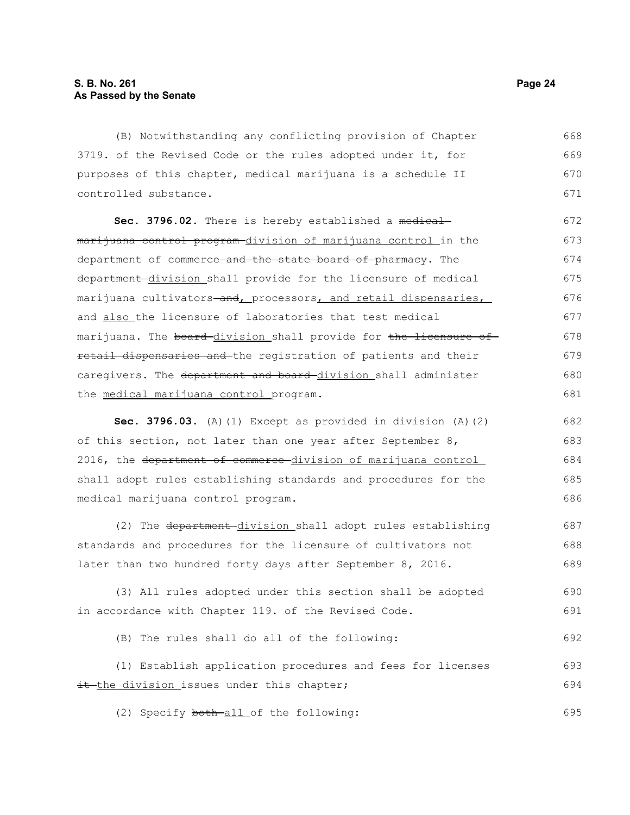the medical marijuana control program.

(B) Notwithstanding any conflicting provision of Chapter 3719. of the Revised Code or the rules adopted under it, for purposes of this chapter, medical marijuana is a schedule II controlled substance. Sec. 3796.02. There is hereby established a medicalmarijuana control program-division of marijuana control in the department of commerce-and the state board of pharmacy. The department division shall provide for the licensure of medical marijuana cultivators-and, processors, and retail dispensaries, and also the licensure of laboratories that test medical marijuana. The board-division shall provide for the licensure ofretail dispensaries and the registration of patients and their caregivers. The department and board-division shall administer 668 669 670 671 672 673 674 675 676 677 678 679 680

**Sec. 3796.03.** (A)(1) Except as provided in division (A)(2) of this section, not later than one year after September 8, 2016, the department of commerce division of marijuana control shall adopt rules establishing standards and procedures for the medical marijuana control program. 682 683 684 685 686

(2) The department division shall adopt rules establishing standards and procedures for the licensure of cultivators not later than two hundred forty days after September 8, 2016. 687 688 689

(3) All rules adopted under this section shall be adopted in accordance with Chapter 119. of the Revised Code. 690 691

(B) The rules shall do all of the following: 692

(1) Establish application procedures and fees for licenses it the division issues under this chapter; 693 694

(2) Specify both-all of the following:

681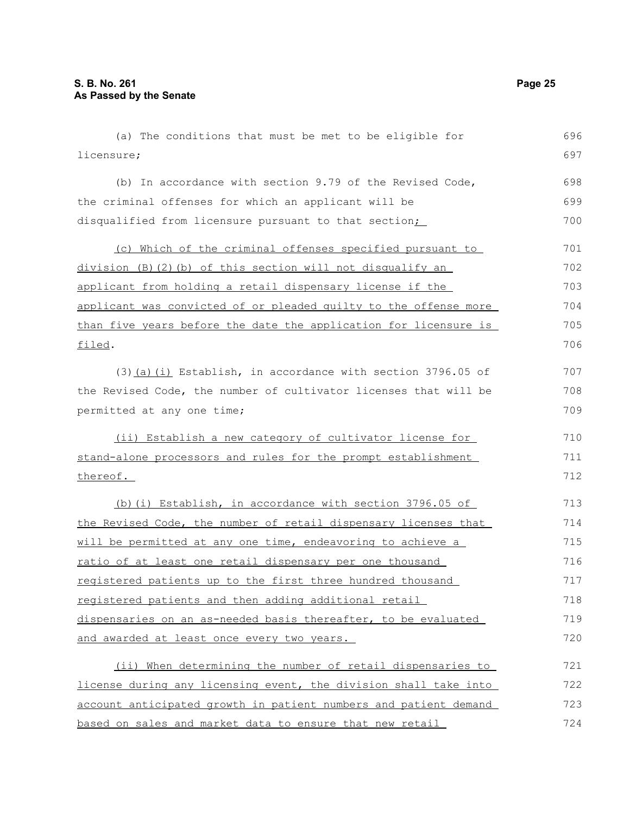| (a) The conditions that must be met to be eligible for           | 696 |
|------------------------------------------------------------------|-----|
| licensure;                                                       | 697 |
| (b) In accordance with section 9.79 of the Revised Code,         | 698 |
| the criminal offenses for which an applicant will be             | 699 |
| disqualified from licensure pursuant to that section;            | 700 |
| (c) Which of the criminal offenses specified pursuant to         | 701 |
| division (B)(2)(b) of this section will not disqualify an        | 702 |
| applicant from holding a retail dispensary license if the        | 703 |
| applicant was convicted of or pleaded guilty to the offense more | 704 |
| than five years before the date the application for licensure is | 705 |
| filed.                                                           | 706 |
| (3) (a) (i) Establish, in accordance with section 3796.05 of     | 707 |
| the Revised Code, the number of cultivator licenses that will be | 708 |
| permitted at any one time;                                       | 709 |
| (ii) Establish a new category of cultivator license for          | 710 |
| stand-alone processors and rules for the prompt establishment    | 711 |
| thereof.                                                         | 712 |
| (b)(i) Establish, in accordance with section 3796.05 of          | 713 |
| the Revised Code, the number of retail dispensary licenses that  | 714 |
| will be permitted at any one time, endeavoring to achieve a      | 715 |
| ratio of at least one retail dispensary per one thousand         | 716 |
| registered patients up to the first three hundred thousand       | 717 |
| registered patients and then adding additional retail            | 718 |
| dispensaries on an as-needed basis thereafter, to be evaluated   | 719 |
| and awarded at least once every two years.                       | 720 |
| (ii) When determining the number of retail dispensaries to       | 721 |
| license during any licensing event, the division shall take into | 722 |
| account anticipated growth in patient numbers and patient demand | 723 |
| based on sales and market data to ensure that new retail         | 724 |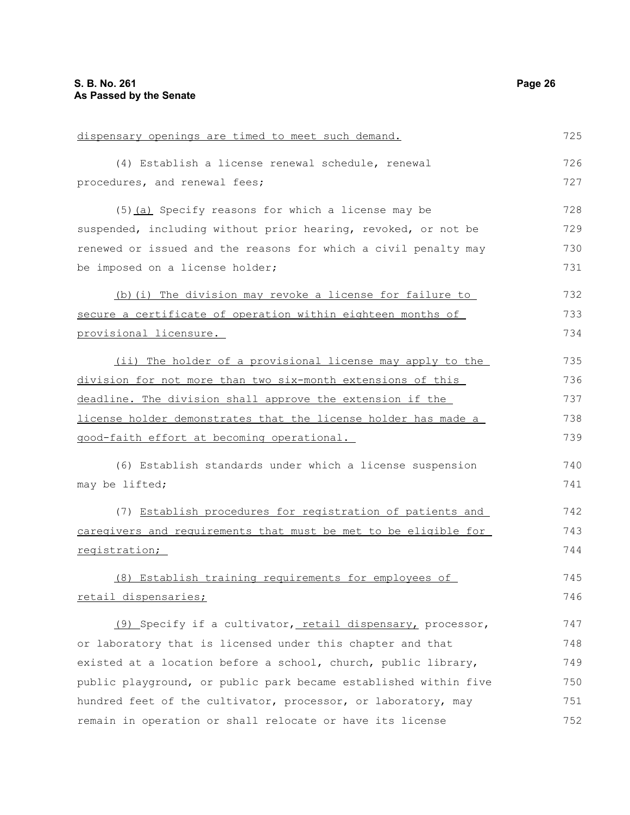| dispensary openings are timed to meet such demand.               | 725 |
|------------------------------------------------------------------|-----|
| (4) Establish a license renewal schedule, renewal                | 726 |
| procedures, and renewal fees;                                    | 727 |
| (5) (a) Specify reasons for which a license may be               | 728 |
| suspended, including without prior hearing, revoked, or not be   | 729 |
| renewed or issued and the reasons for which a civil penalty may  | 730 |
| be imposed on a license holder;                                  | 731 |
| (b) (i) The division may revoke a license for failure to         | 732 |
| secure a certificate of operation within eighteen months of      | 733 |
| provisional licensure.                                           | 734 |
| (ii) The holder of a provisional license may apply to the        | 735 |
| division for not more than two six-month extensions of this      | 736 |
| deadline. The division shall approve the extension if the        | 737 |
| license holder demonstrates that the license holder has made a   | 738 |
| good-faith effort at becoming operational.                       | 739 |
| (6) Establish standards under which a license suspension         | 740 |
| may be lifted;                                                   | 741 |
| (7) Establish procedures for registration of patients and        | 742 |
| caregivers and requirements that must be met to be eligible for  | 743 |
| registration;                                                    | 744 |
| (8) Establish training requirements for employees of             | 745 |
| retail dispensaries;                                             | 746 |
| (9) Specify if a cultivator, retail dispensary, processor,       | 747 |
| or laboratory that is licensed under this chapter and that       | 748 |
| existed at a location before a school, church, public library,   | 749 |
| public playground, or public park became established within five | 750 |
| hundred feet of the cultivator, processor, or laboratory, may    | 751 |
| remain in operation or shall relocate or have its license        | 752 |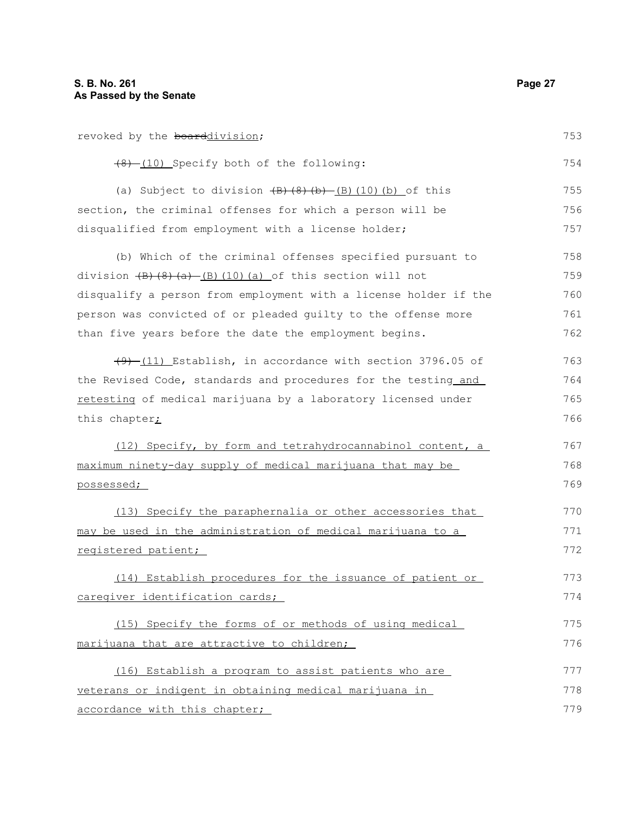| revoked by the boarddivision;                                                               | 753 |
|---------------------------------------------------------------------------------------------|-----|
| (8) (10) Specify both of the following:                                                     | 754 |
| (a) Subject to division $\left(\frac{B}{B}\right)\left(\frac{B}{B}\right)$ (10) (b) of this | 755 |
| section, the criminal offenses for which a person will be                                   | 756 |
| disqualified from employment with a license holder;                                         | 757 |
| (b) Which of the criminal offenses specified pursuant to                                    | 758 |
| division $(B)$ $(8)$ $(a)$ $(B)$ $(10)$ $(a)$ of this section will not                      | 759 |
| disqualify a person from employment with a license holder if the                            | 760 |
| person was convicted of or pleaded guilty to the offense more                               | 761 |
| than five years before the date the employment begins.                                      | 762 |
| $(9)$ (11) Establish, in accordance with section 3796.05 of                                 | 763 |
| the Revised Code, standards and procedures for the testing and                              | 764 |
| retesting of medical marijuana by a laboratory licensed under                               | 765 |
| this chapter <sub>i</sub>                                                                   | 766 |
| (12) Specify, by form and tetrahydrocannabinol content, a                                   | 767 |
| maximum ninety-day supply of medical marijuana that may be                                  | 768 |
| possessed;                                                                                  | 769 |
| (13) Specify the paraphernalia or other accessories that                                    | 770 |
| may be used in the administration of medical marijuana to a                                 | 771 |
| registered patient;                                                                         | 772 |
| (14) Establish procedures for the issuance of patient or                                    | 773 |
| caregiver identification cards;                                                             | 774 |
| (15) Specify the forms of or methods of using medical                                       | 775 |
| marijuana that are attractive to children;                                                  | 776 |
| (16) Establish a program to assist patients who are                                         | 777 |
| veterans or indigent in obtaining medical marijuana in                                      | 778 |
| accordance with this chapter;                                                               | 779 |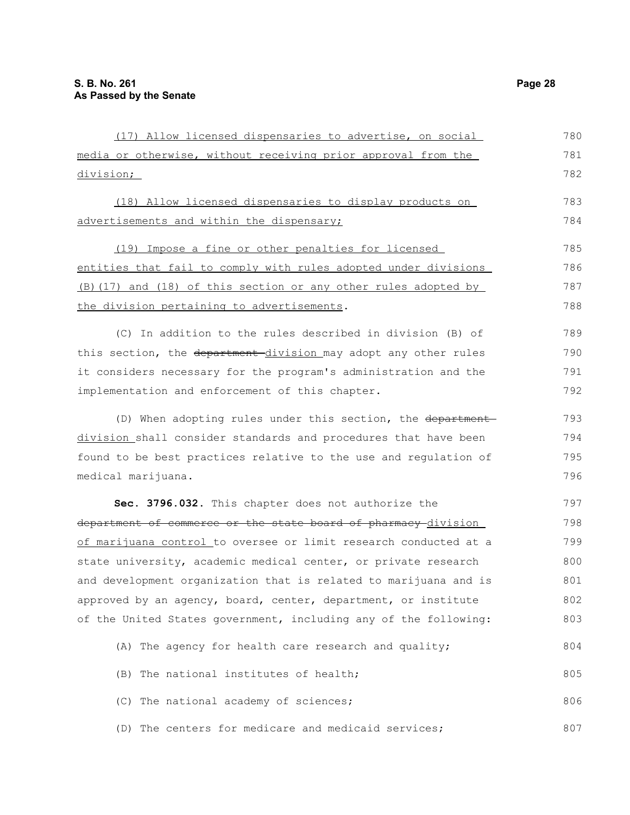| (17) Allow licensed dispensaries to advertise, on social         | 780 |
|------------------------------------------------------------------|-----|
| media or otherwise, without receiving prior approval from the    | 781 |
| <u>division;</u>                                                 | 782 |
| (18) Allow licensed dispensaries to display products on          | 783 |
| advertisements and within the dispensary;                        | 784 |
| (19) Impose a fine or other penalties for licensed               | 785 |
| entities that fail to comply with rules adopted under divisions  | 786 |
| (B) (17) and (18) of this section or any other rules adopted by  | 787 |
| the division pertaining to advertisements.                       | 788 |
| (C) In addition to the rules described in division (B) of        | 789 |
| this section, the department-division may adopt any other rules  | 790 |
| it considers necessary for the program's administration and the  | 791 |
| implementation and enforcement of this chapter.                  | 792 |
| (D) When adopting rules under this section, the department-      | 793 |
| division shall consider standards and procedures that have been  | 794 |
| found to be best practices relative to the use and regulation of | 795 |
| medical marijuana.                                               | 796 |
| Sec. 3796.032. This chapter does not authorize the               | 797 |
| department of commerce or the state board of pharmacy division   | 798 |
| of marijuana control to oversee or limit research conducted at a | 799 |
| state university, academic medical center, or private research   | 800 |
| and development organization that is related to marijuana and is | 801 |
| approved by an agency, board, center, department, or institute   | 802 |
| of the United States government, including any of the following: | 803 |
| (A) The agency for health care research and quality;             | 804 |
| (B) The national institutes of health;                           | 805 |
| (C) The national academy of sciences;                            | 806 |
| (D) The centers for medicare and medicaid services;              | 807 |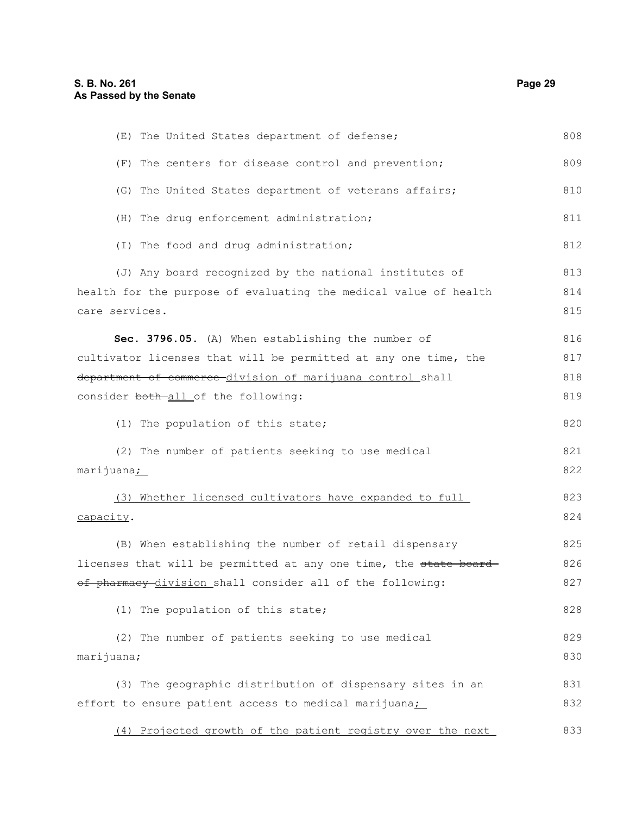| (E) The United States department of defense;                     | 808 |
|------------------------------------------------------------------|-----|
| (F) The centers for disease control and prevention;              | 809 |
| (G) The United States department of veterans affairs;            | 810 |
| (H) The drug enforcement administration;                         | 811 |
| (I) The food and drug administration;                            | 812 |
| (J) Any board recognized by the national institutes of           | 813 |
| health for the purpose of evaluating the medical value of health | 814 |
| care services.                                                   | 815 |
| Sec. 3796.05. (A) When establishing the number of                | 816 |
| cultivator licenses that will be permitted at any one time, the  | 817 |
| department of commerce division of marijuana control shall       | 818 |
| consider both-all of the following:                              | 819 |
| (1) The population of this state;                                | 820 |
| (2) The number of patients seeking to use medical                | 821 |
| marijuana <u>;</u>                                               | 822 |
| (3) Whether licensed cultivators have expanded to full           | 823 |
| capacity.                                                        | 824 |
| (B) When establishing the number of retail dispensary            | 825 |
| licenses that will be permitted at any one time, the state board | 826 |
| of pharmacy division shall consider all of the following:        | 827 |
| (1) The population of this state;                                | 828 |
| (2) The number of patients seeking to use medical                | 829 |
| marijuana;                                                       | 830 |
| (3) The geographic distribution of dispensary sites in an        | 831 |
| effort to ensure patient access to medical marijuana;            | 832 |
| (4) Projected growth of the patient registry over the next       | 833 |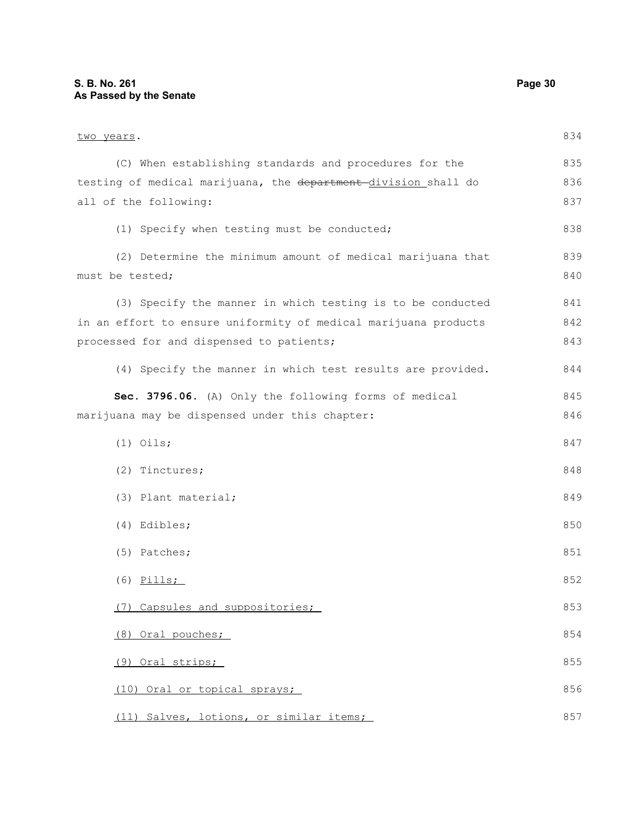two years. (C) When establishing standards and procedures for the testing of medical marijuana, the department-division shall do all of the following: (1) Specify when testing must be conducted; (2) Determine the minimum amount of medical marijuana that must be tested; (3) Specify the manner in which testing is to be conducted in an effort to ensure uniformity of medical marijuana products processed for and dispensed to patients; (4) Specify the manner in which test results are provided. **Sec. 3796.06.** (A) Only the following forms of medical marijuana may be dispensed under this chapter: (1) Oils; (2) Tinctures; (3) Plant material; (4) Edibles; (5) Patches; (6) Pills; (7) Capsules and suppositories; (8) Oral pouches; (9) Oral strips; (10) Oral or topical sprays; (11) Salves, lotions, or similar items; 834 835 836 837 838 839 840 841 842 843 844 845 846 847 848 849 850 851 852 853 854 855 856 857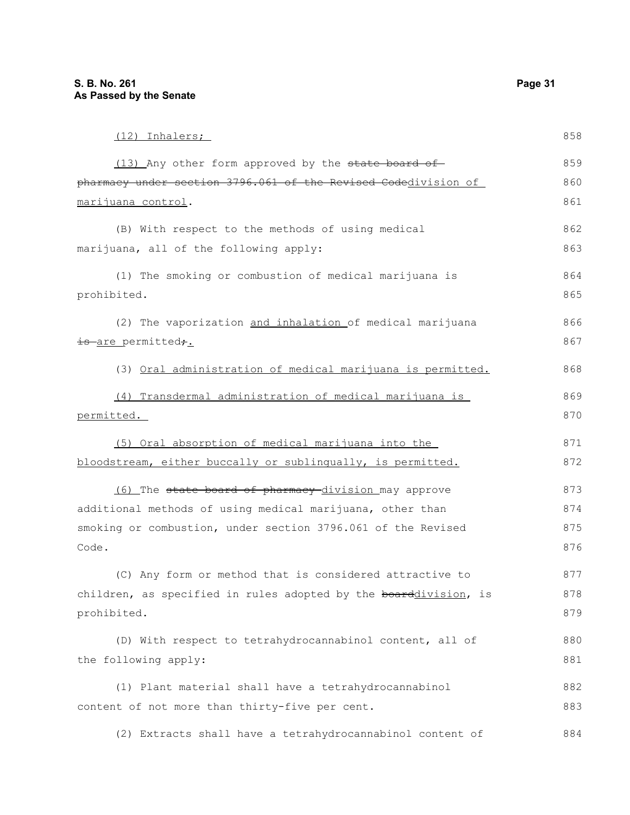| (12) Inhalers;                                                   | 858 |
|------------------------------------------------------------------|-----|
| (13) Any other form approved by the state board of               | 859 |
| pharmacy under section 3796.061 of the Revised Codedivision of   | 860 |
| marijuana control.                                               | 861 |
| (B) With respect to the methods of using medical                 | 862 |
| marijuana, all of the following apply:                           | 863 |
| (1) The smoking or combustion of medical marijuana is            | 864 |
| prohibited.                                                      | 865 |
| (2) The vaporization and inhalation of medical marijuana         | 866 |
| is are permitted,.                                               | 867 |
| (3) Oral administration of medical marijuana is permitted.       | 868 |
| (4) Transdermal administration of medical marijuana is           | 869 |
| permitted.                                                       | 870 |
| (5) Oral absorption of medical marijuana into the                | 871 |
| bloodstream, either buccally or sublingually, is permitted.      | 872 |
| (6) The state board of pharmacy division may approve             | 873 |
| additional methods of using medical marijuana, other than        | 874 |
| smoking or combustion, under section 3796.061 of the Revised     | 875 |
| Code.                                                            | 876 |
| (C) Any form or method that is considered attractive to          | 877 |
| children, as specified in rules adopted by the boarddivision, is | 878 |
| prohibited.                                                      | 879 |
| (D) With respect to tetrahydrocannabinol content, all of         | 880 |
| the following apply:                                             | 881 |
| (1) Plant material shall have a tetrahydrocannabinol             | 882 |
| content of not more than thirty-five per cent.                   | 883 |

(2) Extracts shall have a tetrahydrocannabinol content of 884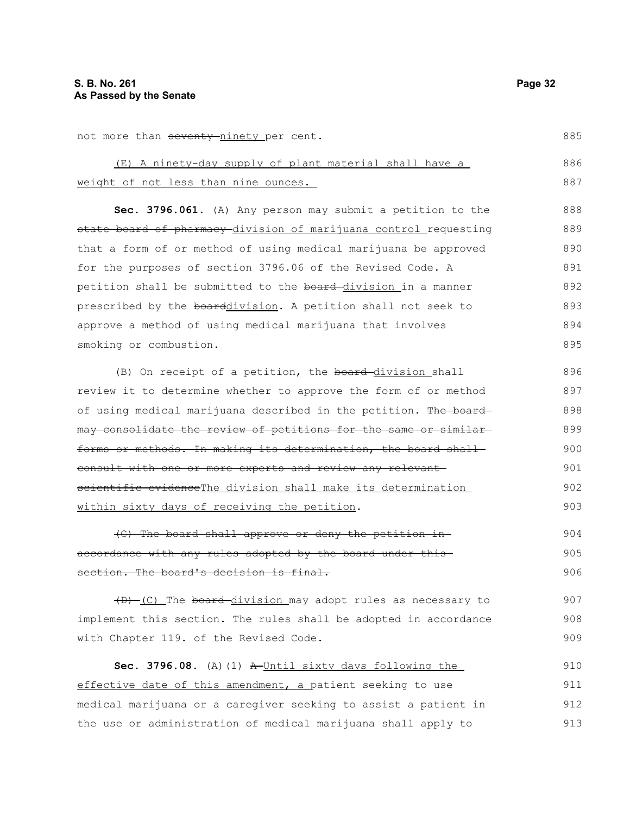not more than seventy-ninety per cent.

|                                      |  |  |  | (E) A ninety-day supply of plant material shall have a |  | 886 |
|--------------------------------------|--|--|--|--------------------------------------------------------|--|-----|
| weight of not less than nine ounces. |  |  |  |                                                        |  |     |
|                                      |  |  |  |                                                        |  |     |

**Sec. 3796.061.** (A) Any person may submit a petition to the state board of pharmacy division of marijuana control requesting that a form of or method of using medical marijuana be approved for the purposes of section 3796.06 of the Revised Code. A petition shall be submitted to the board-division in a manner prescribed by the boarddivision. A petition shall not seek to approve a method of using medical marijuana that involves smoking or combustion. 888 889 890 891 892 893 894 895

(B) On receipt of a petition, the board-division shall review it to determine whether to approve the form of or method of using medical marijuana described in the petition. The board may consolidate the review of petitions for the same or similar forms or methods. In making its determination, the board shallconsult with one or more experts and review any relevant scientific evidenceThe division shall make its determination within sixty days of receiving the petition.

(C) The board shall approve or deny the petition in accordance with any rules adopted by the board under this section. The board's decision is final. 904 905 906

(D) (C) The board division may adopt rules as necessary to implement this section. The rules shall be adopted in accordance with Chapter 119. of the Revised Code. 907

Sec. 3796.08. (A)(1) A Until sixty days following the effective date of this amendment, a patient seeking to use medical marijuana or a caregiver seeking to assist a patient in the use or administration of medical marijuana shall apply to 910 911 912 913

885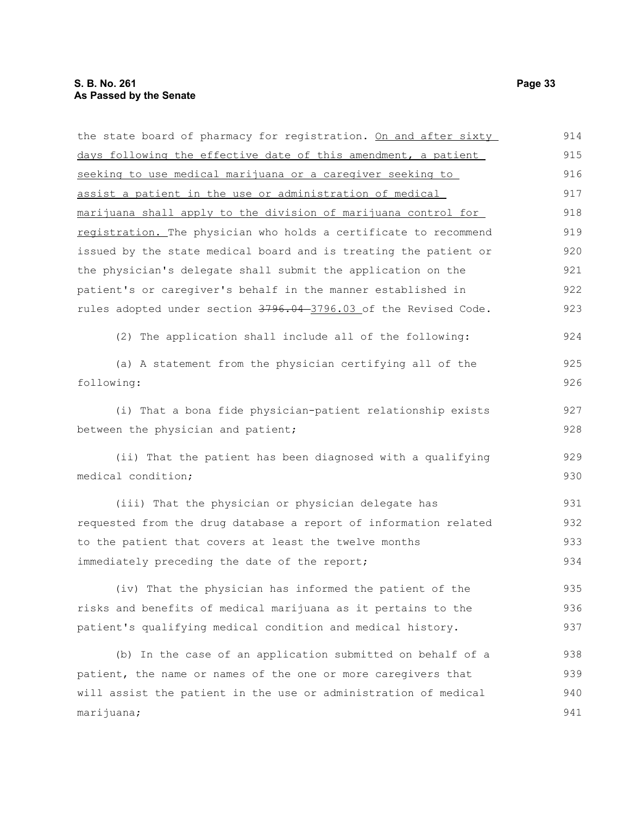the state board of pharmacy for registration. On and after sixty days following the effective date of this amendment, a patient seeking to use medical marijuana or a caregiver seeking to assist a patient in the use or administration of medical marijuana shall apply to the division of marijuana control for registration. The physician who holds a certificate to recommend issued by the state medical board and is treating the patient or the physician's delegate shall submit the application on the patient's or caregiver's behalf in the manner established in rules adopted under section 3796.04-3796.03 of the Revised Code. (2) The application shall include all of the following: (a) A statement from the physician certifying all of the following: (i) That a bona fide physician-patient relationship exists between the physician and patient; (ii) That the patient has been diagnosed with a qualifying medical condition; (iii) That the physician or physician delegate has requested from the drug database a report of information related to the patient that covers at least the twelve months immediately preceding the date of the report; (iv) That the physician has informed the patient of the risks and benefits of medical marijuana as it pertains to the patient's qualifying medical condition and medical history. (b) In the case of an application submitted on behalf of a patient, the name or names of the one or more caregivers that will assist the patient in the use or administration of medical marijuana; 915 916 917 918 919 920 921 922 923 924 925 926 927 928 929 930 931 932 933 934 935 936 937 938 939 940 941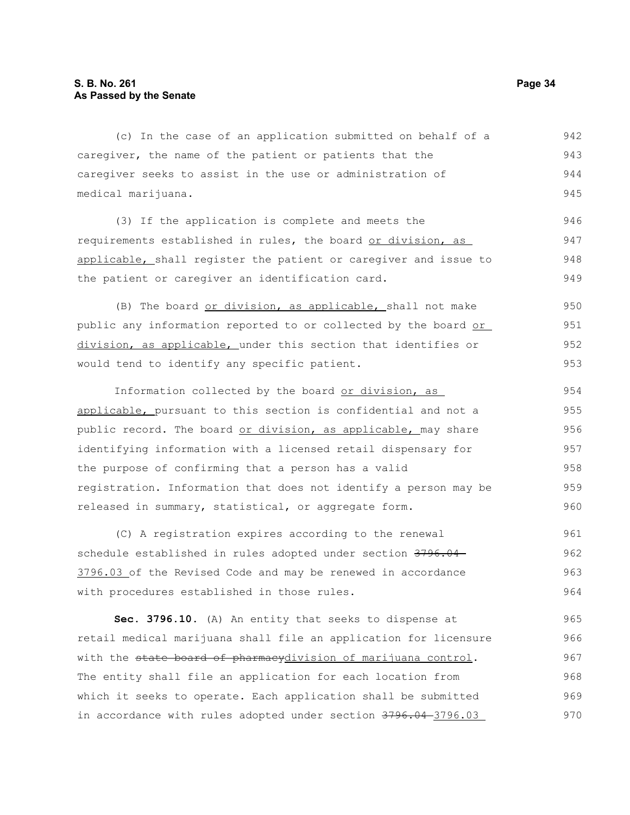#### **S. B. No. 261 Page 34 As Passed by the Senate**

(c) In the case of an application submitted on behalf of a caregiver, the name of the patient or patients that the caregiver seeks to assist in the use or administration of medical marijuana. (3) If the application is complete and meets the requirements established in rules, the board or division, as applicable, shall register the patient or caregiver and issue to the patient or caregiver an identification card. (B) The board or division, as applicable, shall not make public any information reported to or collected by the board or division, as applicable, under this section that identifies or would tend to identify any specific patient. Information collected by the board or division, as applicable, pursuant to this section is confidential and not a public record. The board or division, as applicable, may share identifying information with a licensed retail dispensary for the purpose of confirming that a person has a valid registration. Information that does not identify a person may be released in summary, statistical, or aggregate form. (C) A registration expires according to the renewal schedule established in rules adopted under section 3796.04 3796.03 of the Revised Code and may be renewed in accordance with procedures established in those rules. **Sec. 3796.10.** (A) An entity that seeks to dispense at 942 943 944 945 946 947 948 949 950 951 952 953 954 955 956 957 958 959 960 961 962 963 964 965

retail medical marijuana shall file an application for licensure with the state board of pharmacydivision of marijuana control. The entity shall file an application for each location from which it seeks to operate. Each application shall be submitted in accordance with rules adopted under section 3796.04-3796.03 966 967 968 969 970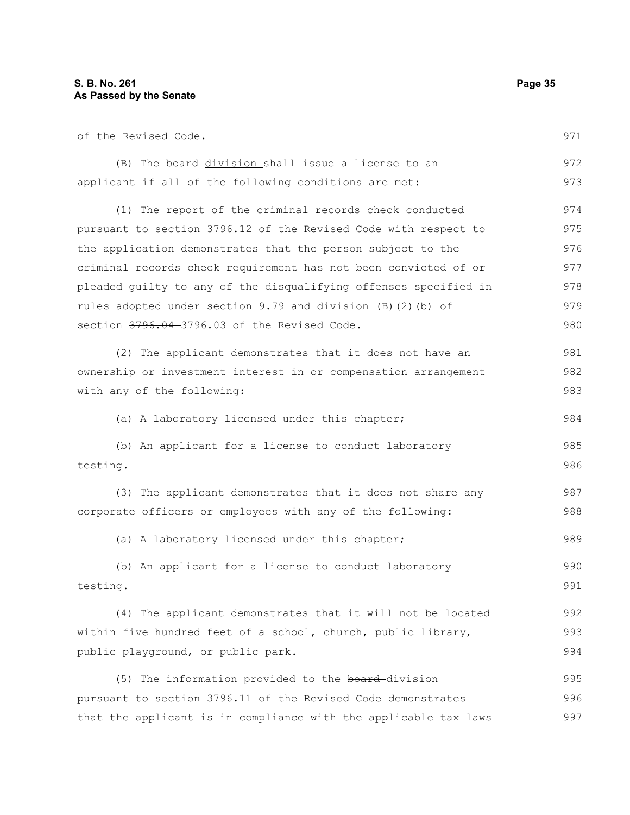of the Revised Code.

|  |  | (B) The board-division shall issue a license to an    |  |  |  | 972 |
|--|--|-------------------------------------------------------|--|--|--|-----|
|  |  | applicant if all of the following conditions are met: |  |  |  | 973 |

(1) The report of the criminal records check conducted pursuant to section 3796.12 of the Revised Code with respect to the application demonstrates that the person subject to the criminal records check requirement has not been convicted of or pleaded guilty to any of the disqualifying offenses specified in rules adopted under section 9.79 and division (B)(2)(b) of section 3796.04-3796.03 of the Revised Code. 974 975 976 977 978 979 980

(2) The applicant demonstrates that it does not have an ownership or investment interest in or compensation arrangement with any of the following: 981 982 983

(a) A laboratory licensed under this chapter;

```
(b) An applicant for a license to conduct laboratory
testing.
                                                                             985
                                                                             986
```
(3) The applicant demonstrates that it does not share any corporate officers or employees with any of the following: 987 988

(a) A laboratory licensed under this chapter; 989

```
(b) An applicant for a license to conduct laboratory
testing.
                                                                             990
                                                                             991
```
(4) The applicant demonstrates that it will not be located within five hundred feet of a school, church, public library, public playground, or public park. 992 993 994

(5) The information provided to the board-division pursuant to section 3796.11 of the Revised Code demonstrates that the applicant is in compliance with the applicable tax laws 995 996 997

971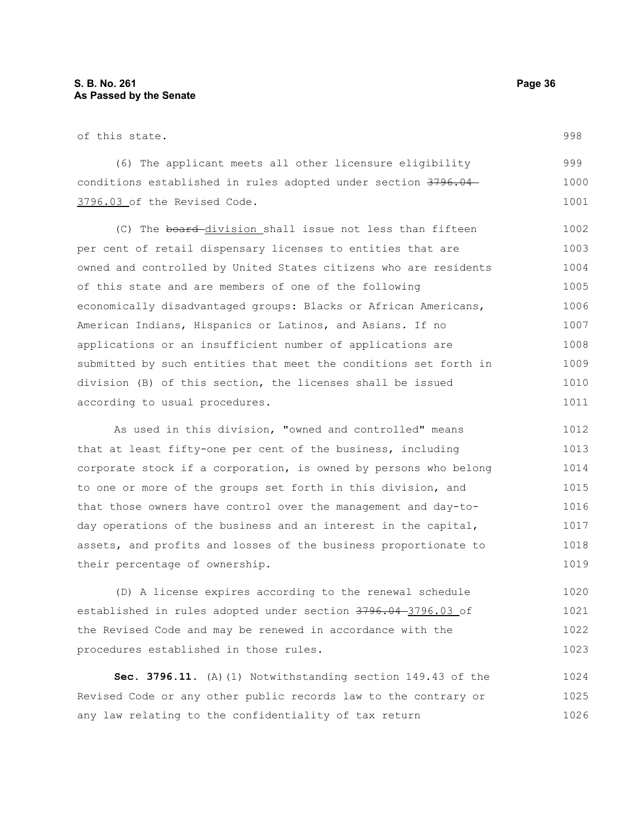of this state.

(6) The applicant meets all other licensure eligibility conditions established in rules adopted under section 3796.04 3796.03 of the Revised Code. 999 1000 1001

(C) The board division shall issue not less than fifteen per cent of retail dispensary licenses to entities that are owned and controlled by United States citizens who are residents of this state and are members of one of the following economically disadvantaged groups: Blacks or African Americans, American Indians, Hispanics or Latinos, and Asians. If no applications or an insufficient number of applications are submitted by such entities that meet the conditions set forth in division (B) of this section, the licenses shall be issued according to usual procedures. 1002 1003 1004 1005 1006 1008 1009 1010 1011

As used in this division, "owned and controlled" means that at least fifty-one per cent of the business, including corporate stock if a corporation, is owned by persons who belong to one or more of the groups set forth in this division, and that those owners have control over the management and day-today operations of the business and an interest in the capital, assets, and profits and losses of the business proportionate to their percentage of ownership. 1012 1013 1014 1015 1016 1017 1018 1019

(D) A license expires according to the renewal schedule established in rules adopted under section 3796.04 3796.03 of the Revised Code and may be renewed in accordance with the procedures established in those rules. 1020 1021 1022 1023

**Sec. 3796.11.** (A)(1) Notwithstanding section 149.43 of the Revised Code or any other public records law to the contrary or any law relating to the confidentiality of tax return 1024 1025 1026

998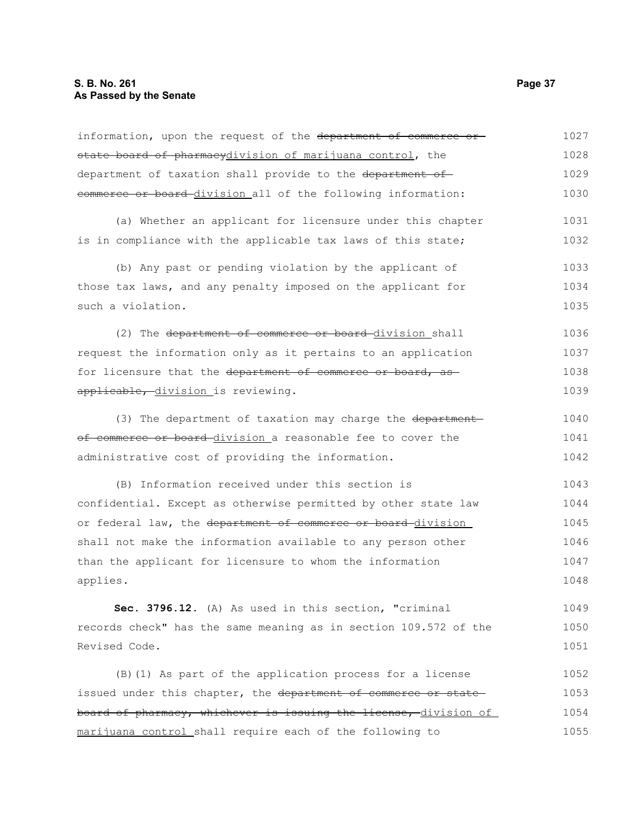| information, upon the request of the department of commerce or   | 1027 |
|------------------------------------------------------------------|------|
| state board of pharmacydivision of marijuana control, the        | 1028 |
| department of taxation shall provide to the department of        | 1029 |
| commerce or board division all of the following information:     | 1030 |
| (a) Whether an applicant for licensure under this chapter        | 1031 |
| is in compliance with the applicable tax laws of this state;     | 1032 |
| (b) Any past or pending violation by the applicant of            | 1033 |
| those tax laws, and any penalty imposed on the applicant for     | 1034 |
| such a violation.                                                | 1035 |
| (2) The department of commerce or board-division shall           | 1036 |
| request the information only as it pertains to an application    | 1037 |
| for licensure that the department of commerce or board, as       | 1038 |
| applicable, division is reviewing.                               | 1039 |
| (3) The department of taxation may charge the department         | 1040 |
| of commerce or board division a reasonable fee to cover the      | 1041 |
| administrative cost of providing the information.                | 1042 |
| (B) Information received under this section is                   | 1043 |
| confidential. Except as otherwise permitted by other state law   | 1044 |
| or federal law, the department of commerce or board division     | 1045 |
| shall not make the information available to any person other     | 1046 |
| than the applicant for licensure to whom the information         | 1047 |
| applies.                                                         | 1048 |
| Sec. 3796.12. (A) As used in this section, "criminal             | 1049 |
| records check" has the same meaning as in section 109.572 of the | 1050 |
| Revised Code.                                                    | 1051 |
| (B) (1) As part of the application process for a license         | 1052 |
| issued under this chapter, the department of commerce or state   | 1053 |
| board of pharmacy, whichever is issuing the license, division of | 1054 |
| marijuana control shall require each of the following to         | 1055 |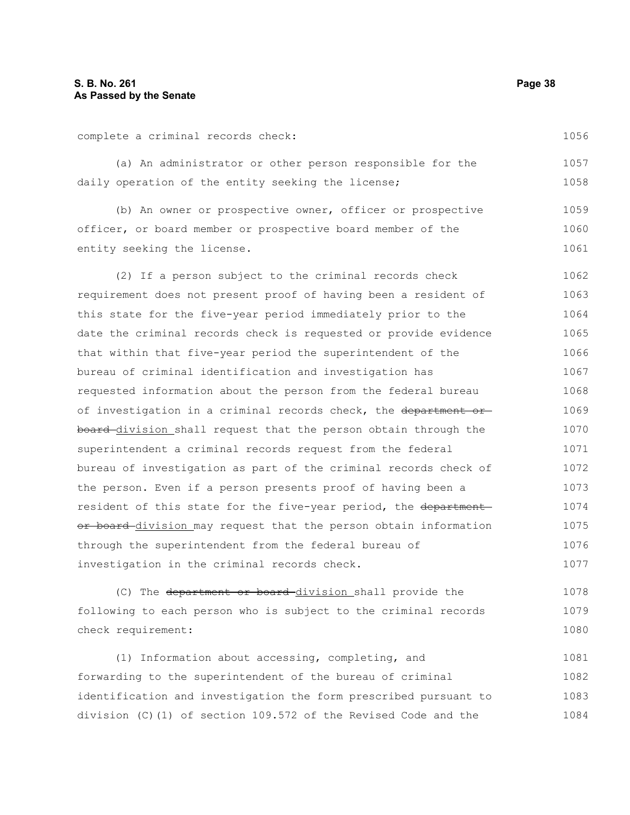complete a criminal records check:

1056

|  |  |  |  |  | (a) An administrator or other person responsible for the |  |  | 1057 |
|--|--|--|--|--|----------------------------------------------------------|--|--|------|
|  |  |  |  |  | daily operation of the entity seeking the license;       |  |  | 1058 |

(b) An owner or prospective owner, officer or prospective officer, or board member or prospective board member of the entity seeking the license. 1059 1060 1061

(2) If a person subject to the criminal records check requirement does not present proof of having been a resident of this state for the five-year period immediately prior to the date the criminal records check is requested or provide evidence that within that five-year period the superintendent of the bureau of criminal identification and investigation has requested information about the person from the federal bureau of investigation in a criminal records check, the department or board division shall request that the person obtain through the superintendent a criminal records request from the federal bureau of investigation as part of the criminal records check of the person. Even if a person presents proof of having been a resident of this state for the five-year period, the department or board division may request that the person obtain information through the superintendent from the federal bureau of investigation in the criminal records check. 1062 1063 1064 1065 1066 1067 1068 1069 1070 1071 1072 1073 1074 1075 1076 1077

(C) The department or board division shall provide the following to each person who is subject to the criminal records check requirement: 1078 1079 1080

(1) Information about accessing, completing, and forwarding to the superintendent of the bureau of criminal identification and investigation the form prescribed pursuant to division (C)(1) of section 109.572 of the Revised Code and the 1081 1082 1083 1084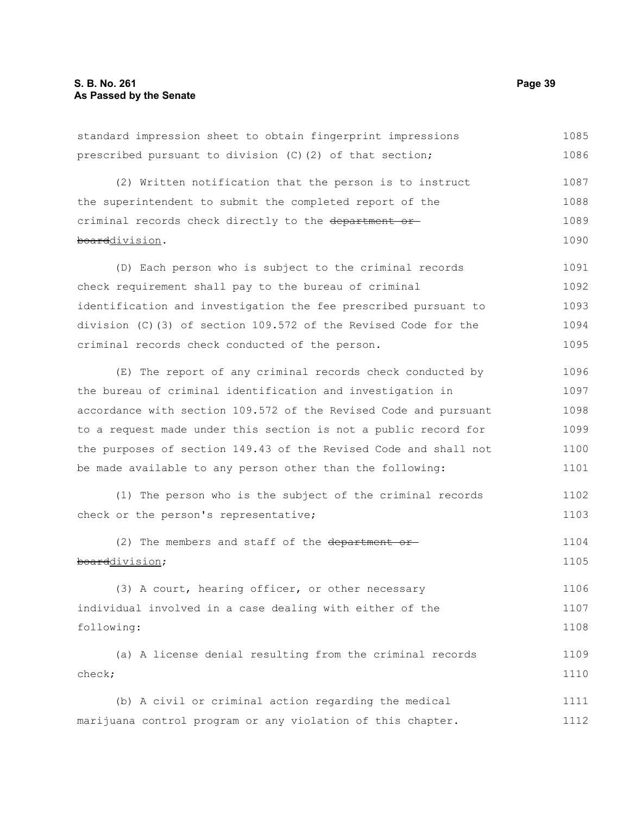| prescribed pursuant to division (C) (2) of that section;         | 1086 |
|------------------------------------------------------------------|------|
| (2) Written notification that the person is to instruct          | 1087 |
| the superintendent to submit the completed report of the         | 1088 |
| criminal records check directly to the department or-            | 1089 |
| boarddivision.                                                   | 1090 |
| (D) Each person who is subject to the criminal records           | 1091 |
| check requirement shall pay to the bureau of criminal            | 1092 |
| identification and investigation the fee prescribed pursuant to  | 1093 |
| division (C)(3) of section 109.572 of the Revised Code for the   | 1094 |
| criminal records check conducted of the person.                  | 1095 |
| (E) The report of any criminal records check conducted by        | 1096 |
| the bureau of criminal identification and investigation in       | 1097 |
| accordance with section 109.572 of the Revised Code and pursuant | 1098 |
| to a request made under this section is not a public record for  | 1099 |
| the purposes of section 149.43 of the Revised Code and shall not | 1100 |
| be made available to any person other than the following:        | 1101 |
| (1) The person who is the subject of the criminal records        | 1102 |
| check or the person's representative;                            | 1103 |
| (2) The members and staff of the department                      | 1104 |
| boarddivision;                                                   | 1105 |
| (3) A court, hearing officer, or other necessary                 | 1106 |
| individual involved in a case dealing with either of the         | 1107 |
| following:                                                       | 1108 |
| (a) A license denial resulting from the criminal records         | 1109 |
| check;                                                           | 1110 |
| (b) A civil or criminal action regarding the medical             | 1111 |
| marijuana control program or any violation of this chapter.      | 1112 |

standard impression sheet to obtain fingerprint impressions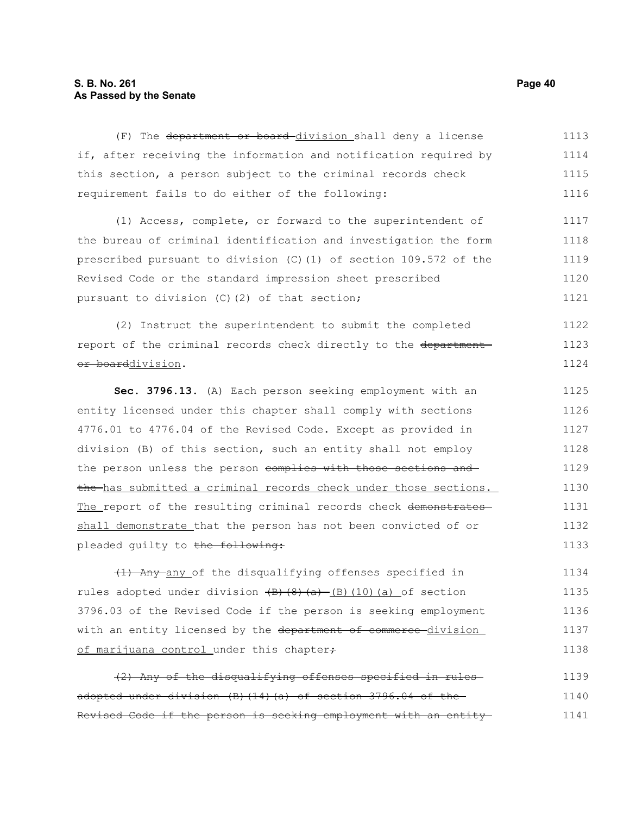#### **S. B. No. 261 Page 40 As Passed by the Senate**

(F) The department or board division shall deny a license if, after receiving the information and notification required by this section, a person subject to the criminal records check requirement fails to do either of the following: 1113 1114 1115 1116

(1) Access, complete, or forward to the superintendent of the bureau of criminal identification and investigation the form prescribed pursuant to division (C)(1) of section 109.572 of the Revised Code or the standard impression sheet prescribed pursuant to division (C)(2) of that section; 1117 1118 1119 1120 1121

(2) Instruct the superintendent to submit the completed report of the criminal records check directly to the department or boarddivision. 1122 1123 1124

**Sec. 3796.13.** (A) Each person seeking employment with an entity licensed under this chapter shall comply with sections 4776.01 to 4776.04 of the Revised Code. Except as provided in division (B) of this section, such an entity shall not employ the person unless the person complies with those sections and the has submitted a criminal records check under those sections. The report of the resulting criminal records check demonstrates shall demonstrate that the person has not been convicted of or pleaded guilty to the following: 1125 1126 1127 1128 1129 1130 1131 1132 1133

(1) Any any of the disqualifying offenses specified in rules adopted under division  $\{B\}(\{8\},\{a\})$  (B)(10)(a) of section 3796.03 of the Revised Code if the person is seeking employment with an entity licensed by the department of commerce division of marijuana control under this chapter+ 1134 1135 1136 1137 1138

(2) Any of the disqualifying offenses specified in rules adopted under division (B)(14)(a) of section 3796.04 of the Revised Code if the person is seeking employment with an entity 1139 1140 1141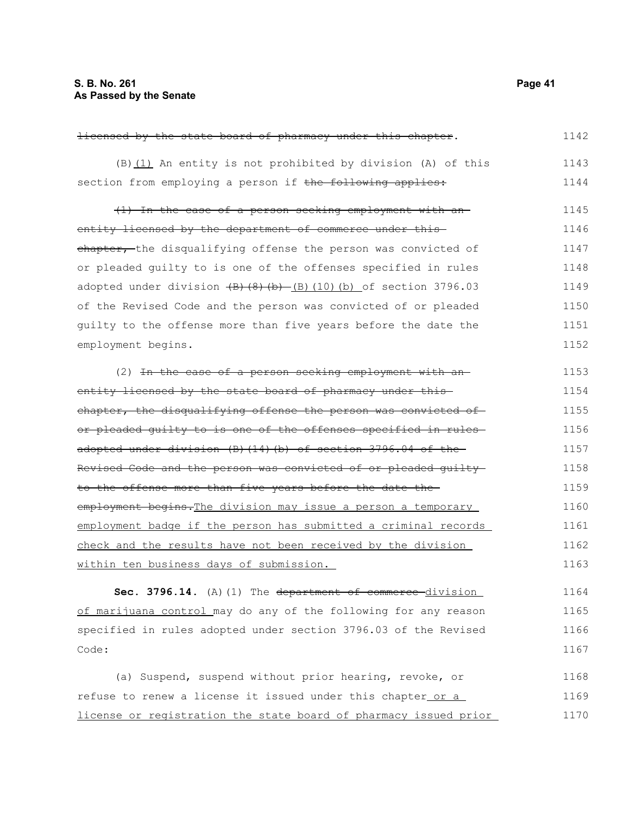licensed by the state board of pharmacy under this chapter.  $(B)$  (1) An entity is not prohibited by division (A) of this section from employing a person if the following applies: (1) In the case of a person seeking employment with an entity licensed by the department of commerce under thischapter, the disqualifying offense the person was convicted of or pleaded guilty to is one of the offenses specified in rules adopted under division  $\left(\frac{B}{B}\right)\left(\frac{B}{B}\right)$  (10)(b) of section 3796.03 of the Revised Code and the person was convicted of or pleaded guilty to the offense more than five years before the date the employment begins. (2) In the case of a person seeking employment with an entity licensed by the state board of pharmacy under thischapter, the disqualifying offense the person was convicted ofor pleaded guilty to is one of the offenses specified in rules adopted under division (B)(14)(b) of section 3796.04 of the Revised Code and the person was convicted of or pleaded guilty to the offense more than five years before the date the employment begins. The division may issue a person a temporary employment badge if the person has submitted a criminal records check and the results have not been received by the division within ten business days of submission. **Sec. 3796.14.** (A)(1) The department of commerce division of marijuana control may do any of the following for any reason specified in rules adopted under section 3796.03 of the Revised Code: (a) Suspend, suspend without prior hearing, revoke, or refuse to renew a license it issued under this chapter or a license or registration the state board of pharmacy issued prior 1142 1143 1144 1145 1146 1147 1148 1149 1150 1151 1152 1153 1154 1155 1156 1157 1158 1159 1160 1161 1162 1163 1164 1165 1166 1167 1168 1169 1170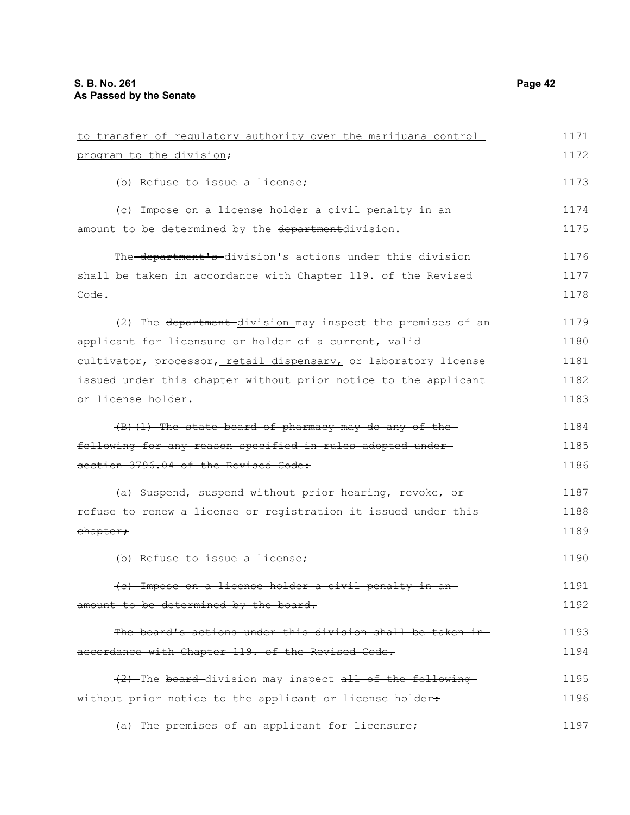| to transfer of regulatory authority over the marijuana control  | 1171 |
|-----------------------------------------------------------------|------|
| program to the division;                                        | 1172 |
| (b) Refuse to issue a license;                                  | 1173 |
| (c) Impose on a license holder a civil penalty in an            | 1174 |
| amount to be determined by the departmentdivision.              | 1175 |
| The-department's-division's actions under this division         | 1176 |
| shall be taken in accordance with Chapter 119. of the Revised   | 1177 |
| Code.                                                           | 1178 |
| (2) The department division may inspect the premises of an      | 1179 |
| applicant for licensure or holder of a current, valid           | 1180 |
| cultivator, processor, retail dispensary, or laboratory license | 1181 |
| issued under this chapter without prior notice to the applicant | 1182 |
| or license holder.                                              | 1183 |
| $(B)$ (1) The state board of pharmacy may do any of the         | 1184 |
| following for any reason specified in rules adopted under-      | 1185 |
| section 3796.04 of the Revised Code:                            | 1186 |
| (a) Suspend, suspend without prior hearing, revoke, or-         | 1187 |
| refuse to renew a license or registration it issued under this  | 1188 |
| chapter;                                                        | 1189 |
| (b) Refuse to issue a license;                                  | 1190 |
| (e) Impose on a license holder a civil penalty in an            | 1191 |
| amount to be determined by the board.                           | 1192 |
| The board's actions under this division shall be taken in-      | 1193 |
| accordance with Chapter 119. of the Revised Code.               | 1194 |
| (2) The board division may inspect all of the following         | 1195 |
| without prior notice to the applicant or license holder+        | 1196 |
| (a) The premises of an applicant for licensure;                 | 1197 |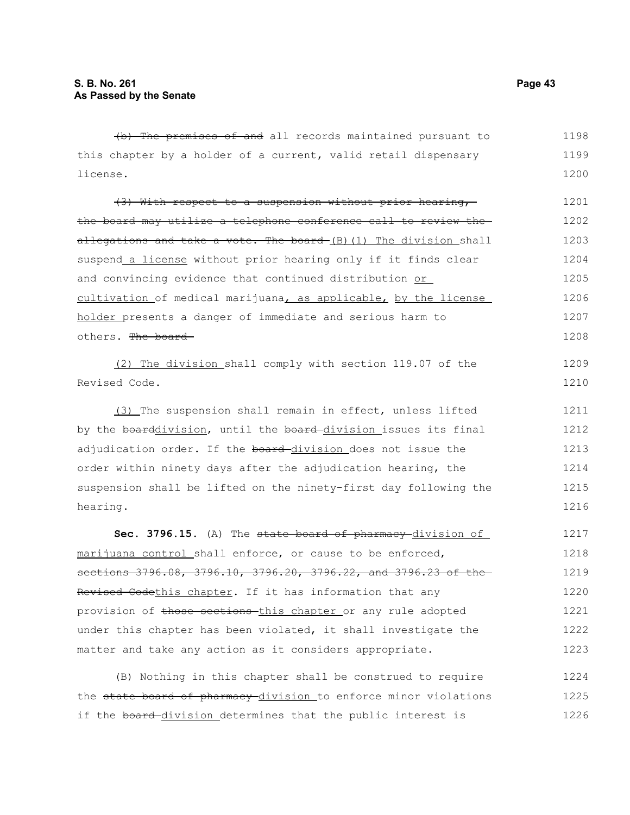(b) The premises of and all records maintained pursuant to this chapter by a holder of a current, valid retail dispensary license. (3) With respect to a suspension without prior hearing, the board may utilize a telephone conference call to review the allegations and take a vote. The board  $(B)$  (1) The division shall suspend a license without prior hearing only if it finds clear and convincing evidence that continued distribution or cultivation of medical marijuana, as applicable, by the license holder presents a danger of immediate and serious harm to others. The board (2) The division shall comply with section 119.07 of the Revised Code. (3) The suspension shall remain in effect, unless lifted by the boarddivision, until the board-division issues its final adjudication order. If the board-division does not issue the order within ninety days after the adjudication hearing, the suspension shall be lifted on the ninety-first day following the hearing. **Sec. 3796.15.** (A) The state board of pharmacy division of marijuana control shall enforce, or cause to be enforced, sections 3796.08, 3796.10, 3796.20, 3796.22, and 3796.23 of the-Revised Codethis chapter. If it has information that any provision of those sections this chapter or any rule adopted under this chapter has been violated, it shall investigate the 1198 1199 1200 1201 1202 1203 1204 1205 1206 1207 1208 1209 1210 1211 1212 1213 1214 1215 1216 1217 1218 1219 1220 1221 1222

(B) Nothing in this chapter shall be construed to require the state board of pharmacy division to enforce minor violations if the board-division determines that the public interest is 1224 1225 1226

matter and take any action as it considers appropriate.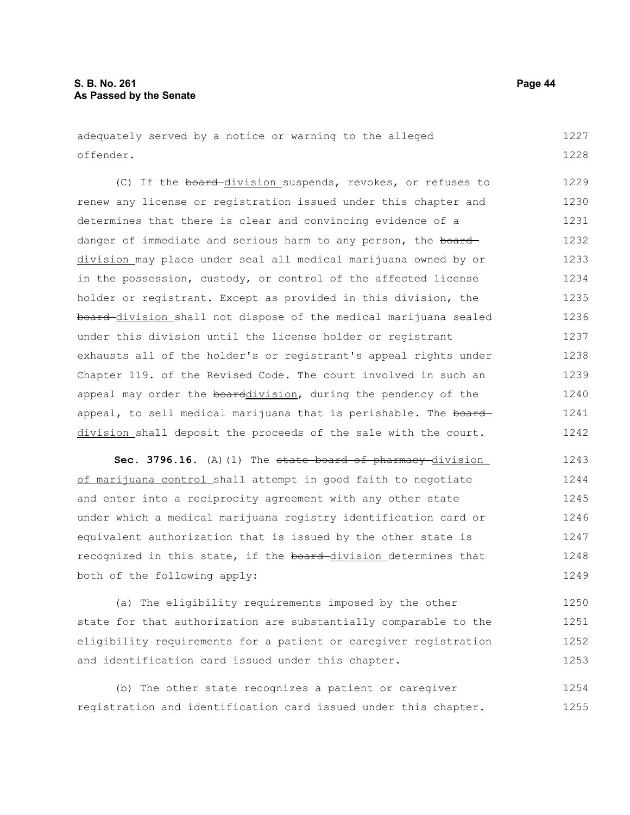adequately served by a notice or warning to the alleged offender. 1227 1228

(C) If the board division suspends, revokes, or refuses to renew any license or registration issued under this chapter and determines that there is clear and convincing evidence of a danger of immediate and serious harm to any person, the board division may place under seal all medical marijuana owned by or in the possession, custody, or control of the affected license holder or registrant. Except as provided in this division, the board division shall not dispose of the medical marijuana sealed under this division until the license holder or registrant exhausts all of the holder's or registrant's appeal rights under Chapter 119. of the Revised Code. The court involved in such an appeal may order the boarddivision, during the pendency of the appeal, to sell medical marijuana that is perishable. The board division shall deposit the proceeds of the sale with the court. 1229 1230 1231 1232 1233 1234 1235 1236 1237 1238 1239 1240 1241 1242

**Sec. 3796.16.** (A)(1) The state board of pharmacy division of marijuana control shall attempt in good faith to negotiate and enter into a reciprocity agreement with any other state under which a medical marijuana registry identification card or equivalent authorization that is issued by the other state is recognized in this state, if the board-division determines that both of the following apply: 1243 1244 1245 1246 1247 1248 1249

(a) The eligibility requirements imposed by the other state for that authorization are substantially comparable to the eligibility requirements for a patient or caregiver registration and identification card issued under this chapter. 1250 1251 1252 1253

(b) The other state recognizes a patient or caregiver registration and identification card issued under this chapter. 1254 1255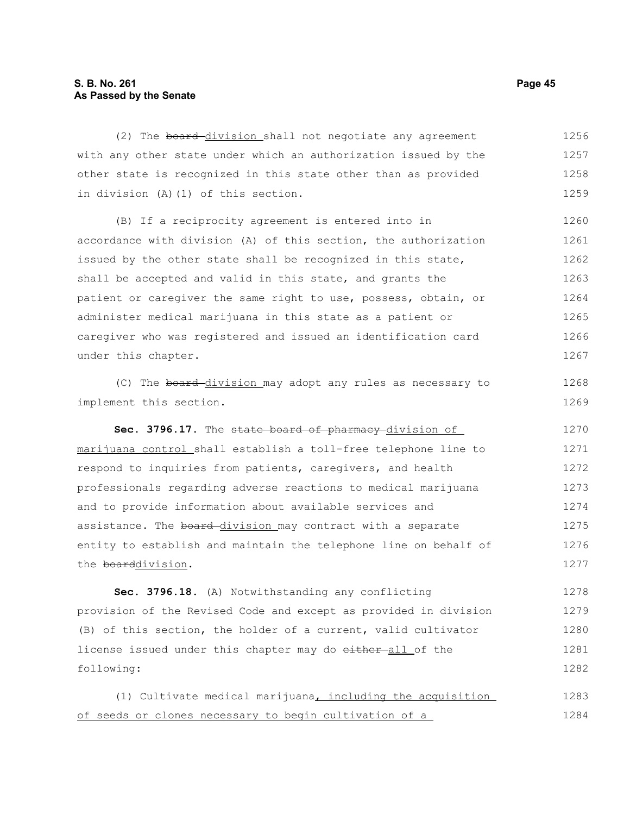#### **S. B. No. 261 Page 45 As Passed by the Senate**

(2) The board-division shall not negotiate any agreement with any other state under which an authorization issued by the other state is recognized in this state other than as provided in division (A)(1) of this section. 1256 1257 1258 1259

(B) If a reciprocity agreement is entered into in accordance with division (A) of this section, the authorization issued by the other state shall be recognized in this state, shall be accepted and valid in this state, and grants the patient or caregiver the same right to use, possess, obtain, or administer medical marijuana in this state as a patient or caregiver who was registered and issued an identification card under this chapter. 1260 1261 1262 1263 1264 1265 1266 1267

(C) The board division may adopt any rules as necessary to implement this section.

Sec. 3796.17. The state board of pharmacy division of marijuana control shall establish a toll-free telephone line to respond to inquiries from patients, caregivers, and health professionals regarding adverse reactions to medical marijuana and to provide information about available services and assistance. The board-division may contract with a separate entity to establish and maintain the telephone line on behalf of the boarddivision. 1270 1271 1272 1273 1274 1275 1276 1277

**Sec. 3796.18.** (A) Notwithstanding any conflicting provision of the Revised Code and except as provided in division (B) of this section, the holder of a current, valid cultivator license issued under this chapter may do either-all of the following: 1278 1279 1280 1281 1282

(1) Cultivate medical marijuana, including the acquisition of seeds or clones necessary to begin cultivation of a 1283 1284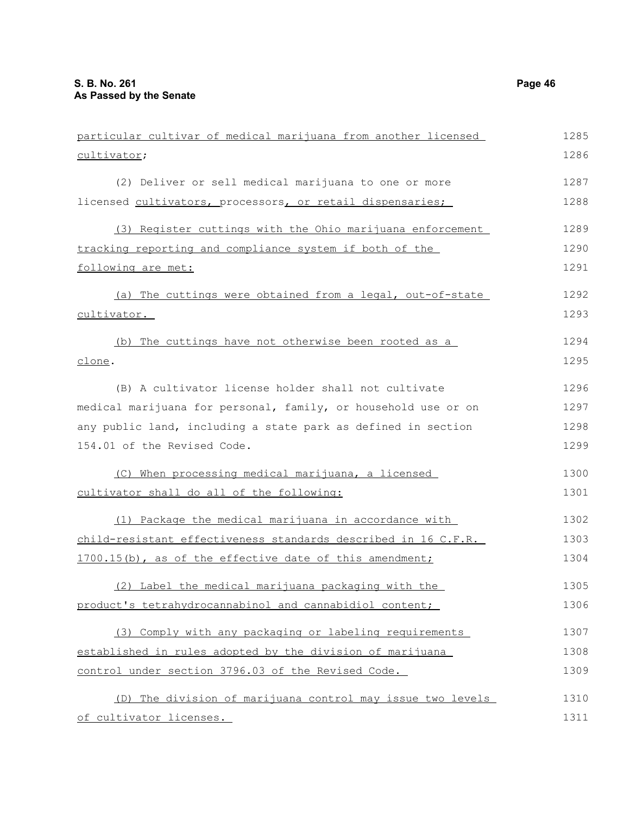| particular cultivar of medical marijuana from another licensed | 1285 |
|----------------------------------------------------------------|------|
| cultivator;                                                    | 1286 |
| (2) Deliver or sell medical marijuana to one or more           | 1287 |
| licensed cultivators, processors, or retail dispensaries;      | 1288 |
| (3) Register cuttings with the Ohio marijuana enforcement      | 1289 |
| tracking reporting and compliance system if both of the        | 1290 |
| following are met:                                             | 1291 |
| (a) The cuttings were obtained from a legal, out-of-state      | 1292 |
| cultivator.                                                    | 1293 |
| (b) The cuttings have not otherwise been rooted as a           | 1294 |
| clone.                                                         | 1295 |
| (B) A cultivator license holder shall not cultivate            | 1296 |
| medical marijuana for personal, family, or household use or on | 1297 |
| any public land, including a state park as defined in section  | 1298 |
| 154.01 of the Revised Code.                                    | 1299 |
| When processing medical marijuana, a licensed<br>(C)           | 1300 |
| cultivator shall do all of the following:                      | 1301 |
| (1) Package the medical marijuana in accordance with           | 1302 |
| child-resistant effectiveness standards described in 16 C.F.R. | 1303 |
| 1700.15(b), as of the effective date of this amendment;        | 1304 |
| (2) Label the medical marijuana packaging with the             | 1305 |
| product's tetrahydrocannabinol and cannabidiol content;        | 1306 |
| (3) Comply with any packaging or labeling requirements         | 1307 |
| established in rules adopted by the division of marijuana      | 1308 |
| control under section 3796.03 of the Revised Code.             | 1309 |
| (D) The division of marijuana control may issue two levels     | 1310 |

of cultivator licenses.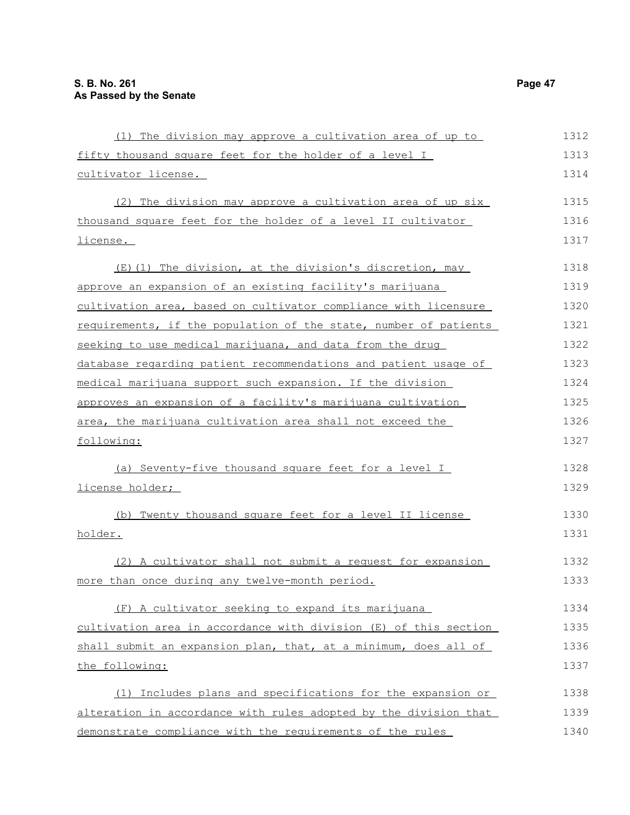| (1) The division may approve a cultivation area of up to         | 1312 |
|------------------------------------------------------------------|------|
| fifty thousand square feet for the holder of a level I           | 1313 |
| cultivator license.                                              | 1314 |
| (2) The division may approve a cultivation area of up six        | 1315 |
| thousand square feet for the holder of a level II cultivator     | 1316 |
| license.                                                         | 1317 |
| (E)(1) The division, at the division's discretion, may           | 1318 |
| approve an expansion of an existing facility's marijuana         | 1319 |
| cultivation area, based on cultivator compliance with licensure  | 1320 |
| requirements, if the population of the state, number of patients | 1321 |
| seeking to use medical marijuana, and data from the drug         | 1322 |
| database regarding patient recommendations and patient usage of  | 1323 |
| medical marijuana support such expansion. If the division        | 1324 |
| approves an expansion of a facility's marijuana cultivation      | 1325 |
| area, the marijuana cultivation area shall not exceed the        | 1326 |
| following:                                                       | 1327 |
| (a) Seventy-five thousand square feet for a level I              | 1328 |
| license holder;                                                  | 1329 |
| (b) Twenty thousand square feet for a level II license           | 1330 |
| holder.                                                          | 1331 |
| (2) A cultivator shall not submit a request for expansion        | 1332 |
| more than once during any twelve-month period.                   | 1333 |
| (F) A cultivator seeking to expand its marijuana                 | 1334 |
| cultivation area in accordance with division (E) of this section | 1335 |
| shall submit an expansion plan, that, at a minimum, does all of  | 1336 |
| the following:                                                   | 1337 |
| Includes plans and specifications for the expansion or<br>(1)    | 1338 |
| alteration in accordance with rules adopted by the division that | 1339 |
| demonstrate compliance with the requirements of the rules        | 1340 |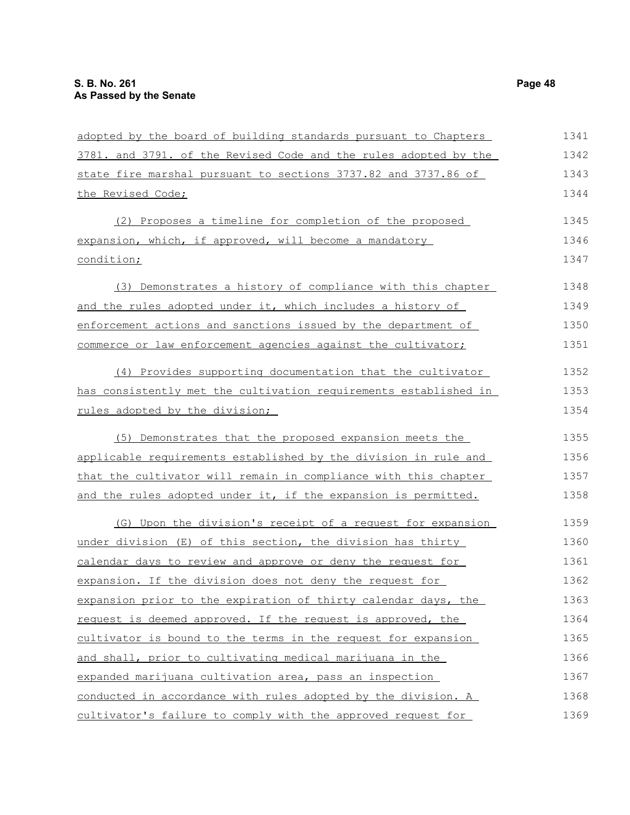| adopted by the board of building standards pursuant to Chapters  | 1341 |
|------------------------------------------------------------------|------|
| 3781. and 3791. of the Revised Code and the rules adopted by the | 1342 |
| state fire marshal pursuant to sections 3737.82 and 3737.86 of   | 1343 |
| the Revised Code;                                                | 1344 |
| (2) Proposes a timeline for completion of the proposed           | 1345 |
| expansion, which, if approved, will become a mandatory           | 1346 |
| condition;                                                       | 1347 |
| (3) Demonstrates a history of compliance with this chapter       | 1348 |
| and the rules adopted under it, which includes a history of      | 1349 |
| enforcement actions and sanctions issued by the department of    | 1350 |
| commerce or law enforcement agencies against the cultivator;     | 1351 |
| (4) Provides supporting documentation that the cultivator        | 1352 |
| has consistently met the cultivation requirements established in | 1353 |
| rules adopted by the division;                                   | 1354 |
| (5) Demonstrates that the proposed expansion meets the           | 1355 |
| applicable requirements established by the division in rule and  | 1356 |
| that the cultivator will remain in compliance with this chapter  | 1357 |
| and the rules adopted under it, if the expansion is permitted.   | 1358 |
| (G) Upon the division's receipt of a request for expansion       | 1359 |
| under division (E) of this section, the division has thirty      | 1360 |
| calendar days to review and approve or deny the request for      | 1361 |
| expansion. If the division does not deny the request for         | 1362 |
| expansion prior to the expiration of thirty calendar days, the   | 1363 |
| request is deemed approved. If the request is approved, the      | 1364 |
| cultivator is bound to the terms in the request for expansion    | 1365 |
| and shall, prior to cultivating medical marijuana in the         | 1366 |
| expanded marijuana cultivation area, pass an inspection          | 1367 |
| conducted in accordance with rules adopted by the division. A    | 1368 |
| cultivator's failure to comply with the approved request for     | 1369 |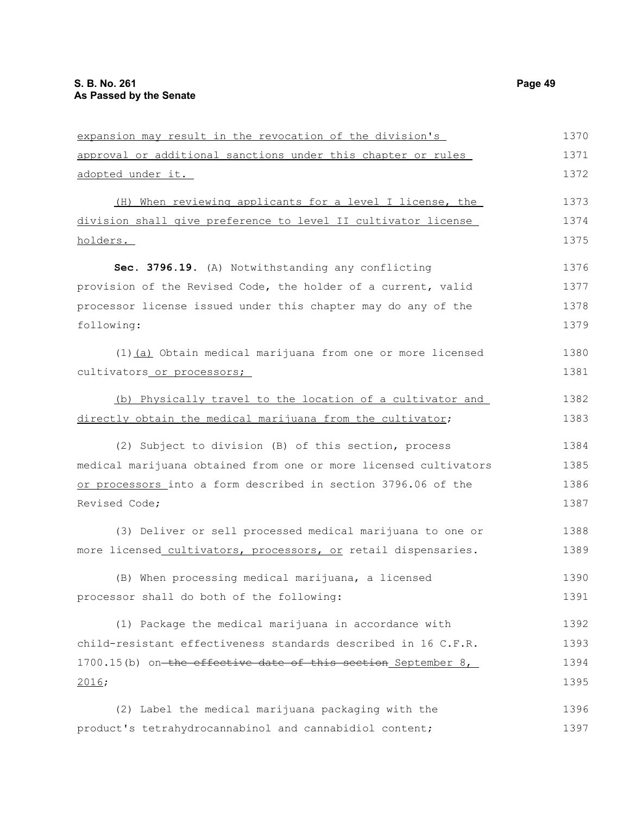| expansion may result in the revocation of the division's         | 1370 |
|------------------------------------------------------------------|------|
| approval or additional sanctions under this chapter or rules     | 1371 |
| adopted under it.                                                | 1372 |
| (H) When reviewing applicants for a level I license, the         | 1373 |
| division shall give preference to level II cultivator license    | 1374 |
| holders.                                                         | 1375 |
| Sec. 3796.19. (A) Notwithstanding any conflicting                | 1376 |
| provision of the Revised Code, the holder of a current, valid    | 1377 |
| processor license issued under this chapter may do any of the    | 1378 |
| following:                                                       | 1379 |
| (1) (a) Obtain medical marijuana from one or more licensed       | 1380 |
| cultivators or processors;                                       | 1381 |
| (b) Physically travel to the location of a cultivator and        | 1382 |
| directly obtain the medical marijuana from the cultivator;       | 1383 |
| (2) Subject to division (B) of this section, process             | 1384 |
| medical marijuana obtained from one or more licensed cultivators | 1385 |
| or processors into a form described in section 3796.06 of the    | 1386 |
| Revised Code;                                                    | 1387 |
| (3) Deliver or sell processed medical marijuana to one or        | 1388 |
| more licensed cultivators, processors, or retail dispensaries.   | 1389 |
| (B) When processing medical marijuana, a licensed                | 1390 |
| processor shall do both of the following:                        | 1391 |
| (1) Package the medical marijuana in accordance with             | 1392 |
| child-resistant effectiveness standards described in 16 C.F.R.   | 1393 |
| 1700.15(b) on-the effective date of this section September 8,    | 1394 |
| 2016;                                                            | 1395 |
| (2) Label the medical marijuana packaging with the               | 1396 |
| product's tetrahydrocannabinol and cannabidiol content;          | 1397 |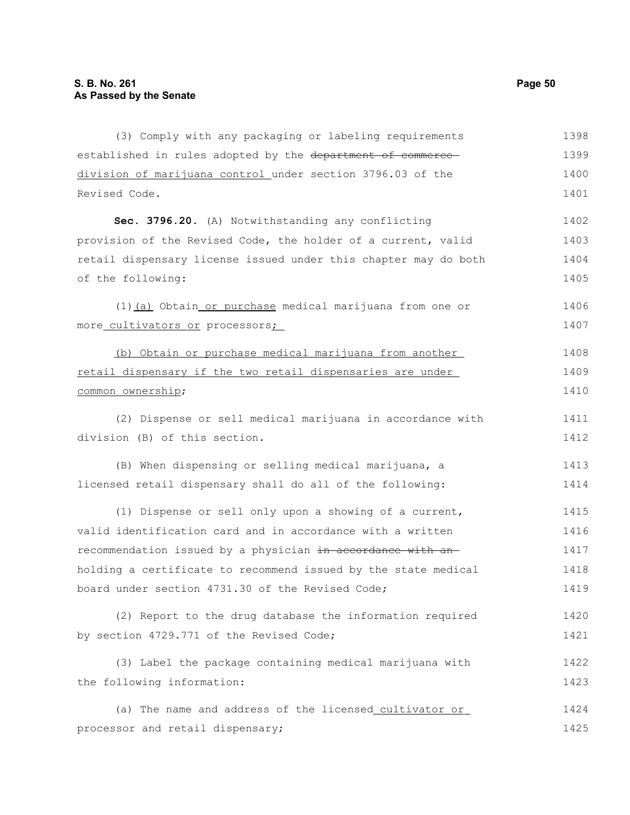(3) Comply with any packaging or labeling requirements established in rules adopted by the department of commercedivision of marijuana control under section 3796.03 of the Revised Code. **Sec. 3796.20.** (A) Notwithstanding any conflicting provision of the Revised Code, the holder of a current, valid retail dispensary license issued under this chapter may do both of the following: (1) (a) Obtain or purchase medical marijuana from one or more cultivators or processors; (b) Obtain or purchase medical marijuana from another retail dispensary if the two retail dispensaries are under common ownership; (2) Dispense or sell medical marijuana in accordance with division (B) of this section. (B) When dispensing or selling medical marijuana, a licensed retail dispensary shall do all of the following: (1) Dispense or sell only upon a showing of a current, valid identification card and in accordance with a written recommendation issued by a physician in accordance with anholding a certificate to recommend issued by the state medical board under section 4731.30 of the Revised Code; (2) Report to the drug database the information required by section 4729.771 of the Revised Code; (3) Label the package containing medical marijuana with the following information: (a) The name and address of the licensed cultivator or processor and retail dispensary; 1398 1399 1400 1401 1402 1403 1404 1405 1406 1407 1408 1409 1410 1411 1412 1413 1414 1415 1416 1417 1418 1419 1420 1421 1422 1423 1424 1425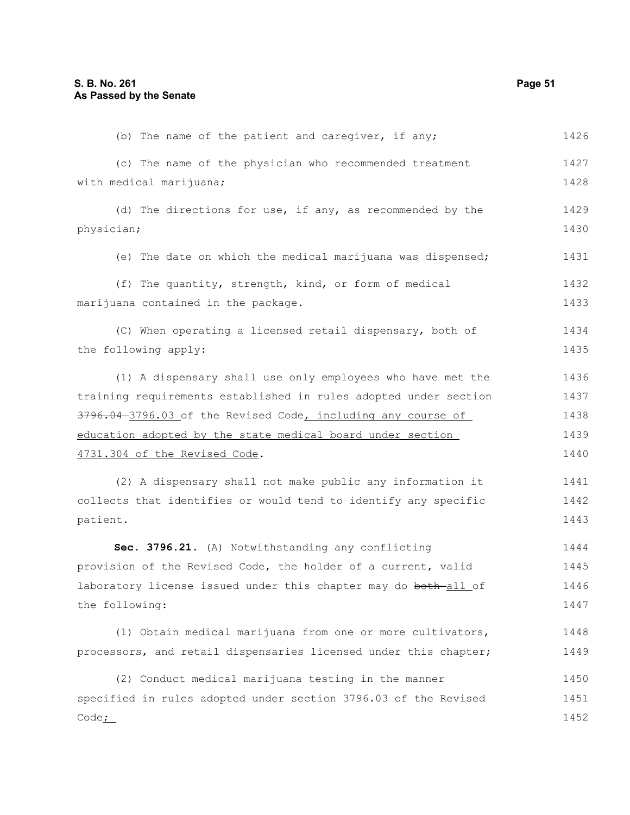| (b) The name of the patient and caregiver, if any;               | 1426 |
|------------------------------------------------------------------|------|
| (c) The name of the physician who recommended treatment          | 1427 |
| with medical marijuana;                                          | 1428 |
| (d) The directions for use, if any, as recommended by the        | 1429 |
| physician;                                                       | 1430 |
| (e) The date on which the medical marijuana was dispensed;       | 1431 |
| (f) The quantity, strength, kind, or form of medical             | 1432 |
| marijuana contained in the package.                              | 1433 |
| (C) When operating a licensed retail dispensary, both of         | 1434 |
| the following apply:                                             | 1435 |
| (1) A dispensary shall use only employees who have met the       | 1436 |
| training requirements established in rules adopted under section | 1437 |
| 3796.04-3796.03 of the Revised Code, including any course of     | 1438 |
| education adopted by the state medical board under section       | 1439 |
| 4731.304 of the Revised Code.                                    | 1440 |
| (2) A dispensary shall not make public any information it        | 1441 |
| collects that identifies or would tend to identify any specific  | 1442 |
| patient.                                                         | 1443 |
| Sec. 3796.21. (A) Notwithstanding any conflicting                | 1444 |
| provision of the Revised Code, the holder of a current, valid    | 1445 |
| laboratory license issued under this chapter may do both-all of  | 1446 |
| the following:                                                   | 1447 |
| (1) Obtain medical marijuana from one or more cultivators,       | 1448 |
| processors, and retail dispensaries licensed under this chapter; | 1449 |
| (2) Conduct medical marijuana testing in the manner              | 1450 |
| specified in rules adopted under section 3796.03 of the Revised  | 1451 |
| Code.                                                            | 1452 |
|                                                                  |      |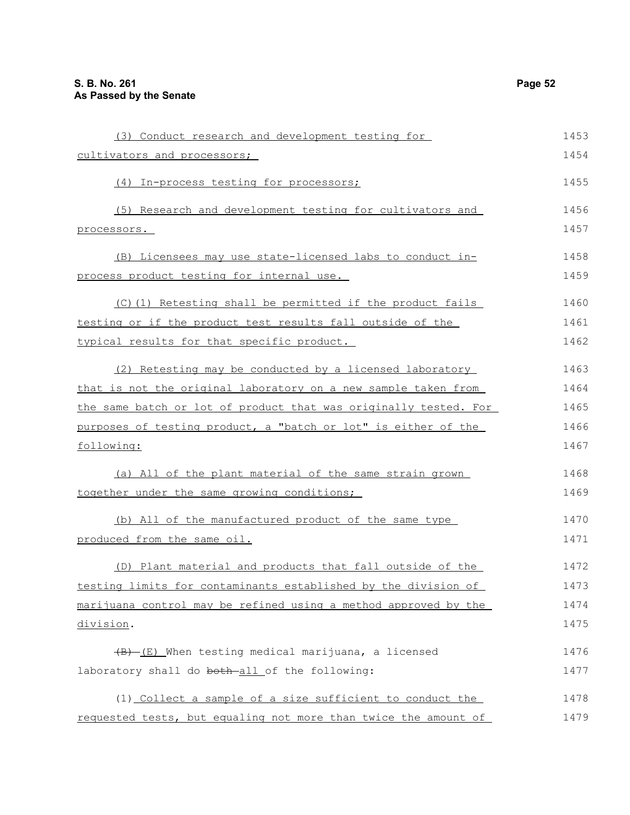| (3) Conduct research and development testing for                 | 1453 |
|------------------------------------------------------------------|------|
| cultivators and processors;                                      | 1454 |
| (4) In-process testing for processors;                           | 1455 |
| (5) Research and development testing for cultivators and         | 1456 |
| processors.                                                      | 1457 |
| (B) Licensees may use state-licensed labs to conduct in-         | 1458 |
| process product testing for internal use.                        | 1459 |
| (C)(1) Retesting shall be permitted if the product fails         | 1460 |
| testing or if the product test results fall outside of the       | 1461 |
| typical results for that specific product.                       | 1462 |
| (2) Retesting may be conducted by a licensed laboratory          | 1463 |
| that is not the original laboratory on a new sample taken from   | 1464 |
| the same batch or lot of product that was originally tested. For | 1465 |
| purposes of testing product, a "batch or lot" is either of the   | 1466 |
| following:                                                       | 1467 |
| (a) All of the plant material of the same strain grown           | 1468 |
| together under the same growing conditions;                      | 1469 |
| (b) All of the manufactured product of the same type             | 1470 |
| produced from the same oil.                                      | 1471 |
| (D) Plant material and products that fall outside of the         | 1472 |
| testing limits for contaminants established by the division of   | 1473 |
| marijuana control may be refined using a method approved by the  | 1474 |
| division.                                                        | 1475 |
| $(B)$ (E) When testing medical marijuana, a licensed             | 1476 |
| laboratory shall do both-all of the following:                   | 1477 |
| (1) Collect a sample of a size sufficient to conduct the         | 1478 |
| requested tests, but equaling not more than twice the amount of  | 1479 |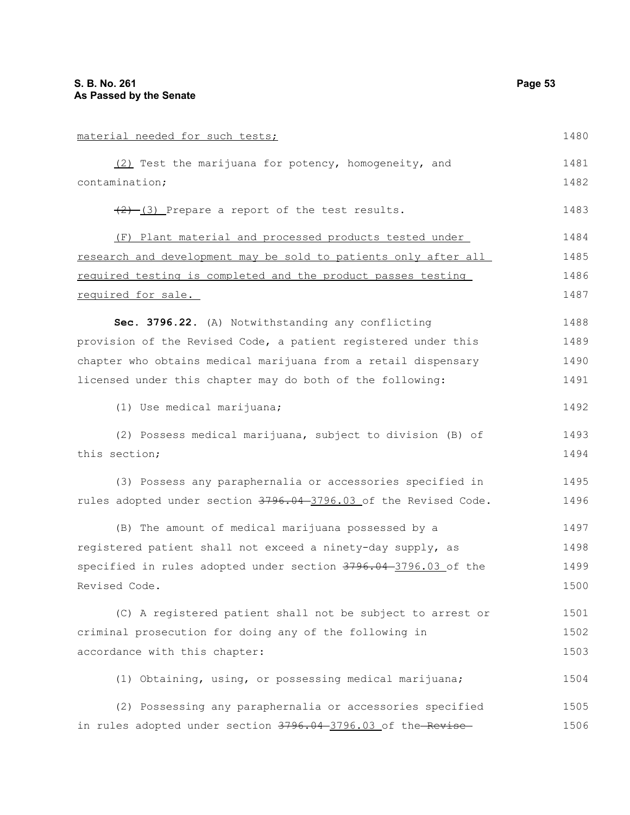| material needed for such tests;                                  | 1480 |
|------------------------------------------------------------------|------|
| (2) Test the marijuana for potency, homogeneity, and             | 1481 |
| contamination;                                                   | 1482 |
| $(2)$ $(3)$ Prepare a report of the test results.                | 1483 |
| (F) Plant material and processed products tested under           | 1484 |
| research and development may be sold to patients only after all  | 1485 |
| required testing is completed and the product passes testing     | 1486 |
| required for sale.                                               | 1487 |
| Sec. 3796.22. (A) Notwithstanding any conflicting                | 1488 |
| provision of the Revised Code, a patient registered under this   | 1489 |
| chapter who obtains medical marijuana from a retail dispensary   | 1490 |
| licensed under this chapter may do both of the following:        | 1491 |
| (1) Use medical marijuana;                                       | 1492 |
| (2) Possess medical marijuana, subject to division (B) of        | 1493 |
| this section;                                                    | 1494 |
| (3) Possess any paraphernalia or accessories specified in        | 1495 |
| rules adopted under section 3796.04-3796.03 of the Revised Code. | 1496 |
| (B) The amount of medical marijuana possessed by a               | 1497 |
| registered patient shall not exceed a ninety-day supply, as      | 1498 |
| specified in rules adopted under section 3796.04-3796.03 of the  | 1499 |
| Revised Code.                                                    | 1500 |
| (C) A registered patient shall not be subject to arrest or       | 1501 |
| criminal prosecution for doing any of the following in           | 1502 |
| accordance with this chapter:                                    | 1503 |
| (1) Obtaining, using, or possessing medical marijuana;           | 1504 |
| (2) Possessing any paraphernalia or accessories specified        | 1505 |
| in rules adopted under section 3796.04 -3796.03 of the Revise    | 1506 |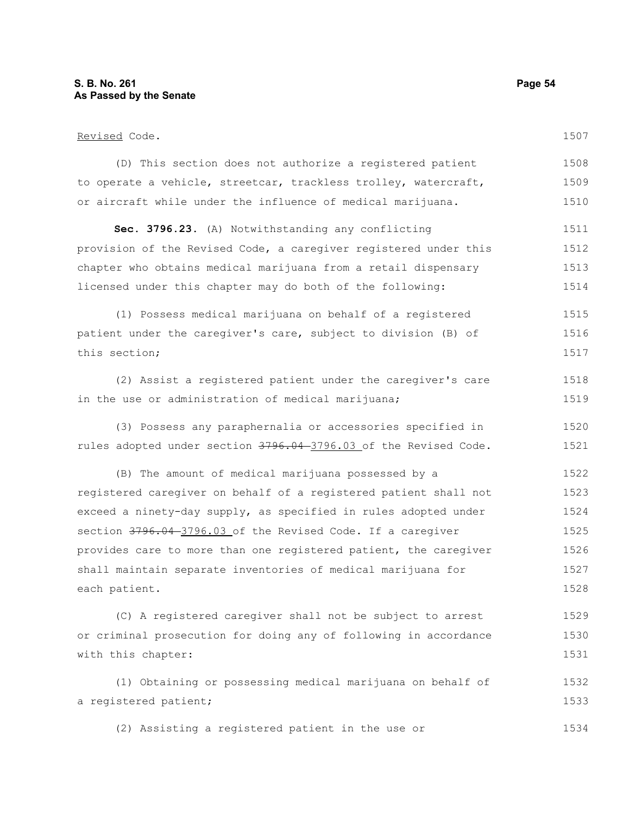1507

#### Revised Code.

(D) This section does not authorize a registered patient to operate a vehicle, streetcar, trackless trolley, watercraft, or aircraft while under the influence of medical marijuana. 1508 1509 1510

**Sec. 3796.23.** (A) Notwithstanding any conflicting provision of the Revised Code, a caregiver registered under this chapter who obtains medical marijuana from a retail dispensary licensed under this chapter may do both of the following: 1511 1512 1513 1514

(1) Possess medical marijuana on behalf of a registered patient under the caregiver's care, subject to division (B) of this section; 1515 1516 1517

(2) Assist a registered patient under the caregiver's care in the use or administration of medical marijuana; 1518 1519

(3) Possess any paraphernalia or accessories specified in rules adopted under section 3796.04-3796.03 of the Revised Code. 1520 1521

(B) The amount of medical marijuana possessed by a registered caregiver on behalf of a registered patient shall not exceed a ninety-day supply, as specified in rules adopted under section 3796.04-3796.03 of the Revised Code. If a caregiver provides care to more than one registered patient, the caregiver shall maintain separate inventories of medical marijuana for each patient. 1522 1523 1524 1525 1526 1527 1528

(C) A registered caregiver shall not be subject to arrest or criminal prosecution for doing any of following in accordance with this chapter: 1529 1530 1531

(1) Obtaining or possessing medical marijuana on behalf of a registered patient; 1532 1533

(2) Assisting a registered patient in the use or 1534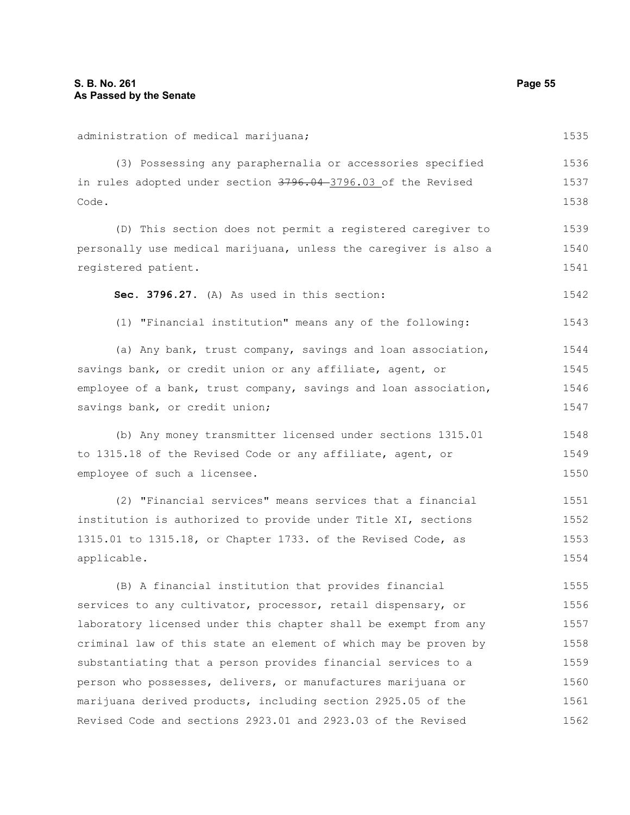| administration of medical marijuana;                             | 1535 |
|------------------------------------------------------------------|------|
| (3) Possessing any paraphernalia or accessories specified        | 1536 |
| in rules adopted under section 3796.04-3796.03 of the Revised    | 1537 |
| Code.                                                            | 1538 |
| (D) This section does not permit a registered caregiver to       | 1539 |
| personally use medical marijuana, unless the caregiver is also a | 1540 |
| registered patient.                                              | 1541 |
| Sec. 3796.27. (A) As used in this section:                       | 1542 |
| (1) "Financial institution" means any of the following:          | 1543 |
| (a) Any bank, trust company, savings and loan association,       | 1544 |
| savings bank, or credit union or any affiliate, agent, or        | 1545 |
| employee of a bank, trust company, savings and loan association, | 1546 |
| savings bank, or credit union;                                   | 1547 |
| (b) Any money transmitter licensed under sections 1315.01        | 1548 |
| to 1315.18 of the Revised Code or any affiliate, agent, or       | 1549 |
| employee of such a licensee.                                     | 1550 |
| (2) "Financial services" means services that a financial         | 1551 |
| institution is authorized to provide under Title XI, sections    | 1552 |
| 1315.01 to 1315.18, or Chapter 1733. of the Revised Code, as     | 1553 |
| applicable.                                                      | 1554 |
| (B) A financial institution that provides financial              | 1555 |
| services to any cultivator, processor, retail dispensary, or     | 1556 |
| laboratory licensed under this chapter shall be exempt from any  | 1557 |
| criminal law of this state an element of which may be proven by  | 1558 |
| substantiating that a person provides financial services to a    | 1559 |
| person who possesses, delivers, or manufactures marijuana or     | 1560 |
| marijuana derived products, including section 2925.05 of the     | 1561 |
| Revised Code and sections 2923.01 and 2923.03 of the Revised     | 1562 |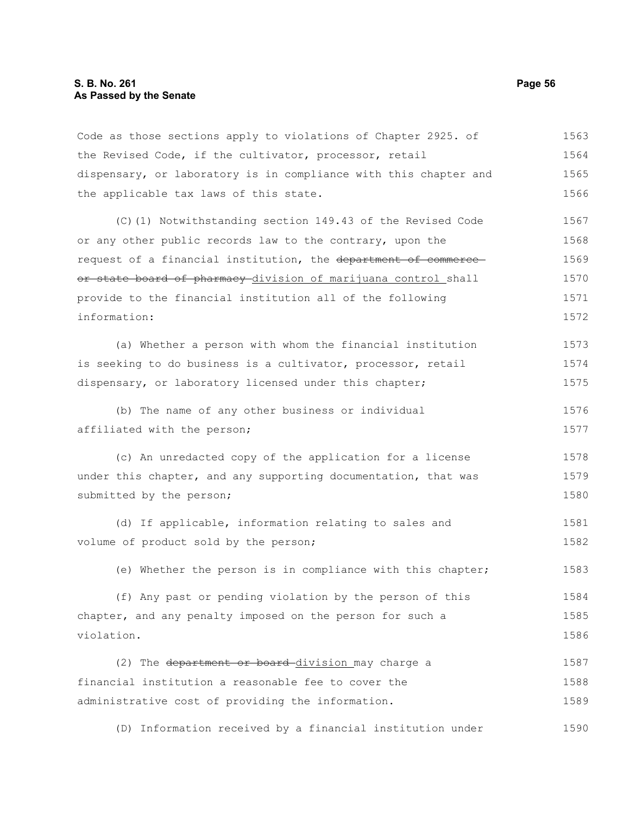#### **S. B. No. 261 Page 56 As Passed by the Senate**

Code as those sections apply to violations of Chapter 2925. of the Revised Code, if the cultivator, processor, retail dispensary, or laboratory is in compliance with this chapter and the applicable tax laws of this state. 1563 1564 1565 1566

(C)(1) Notwithstanding section 149.43 of the Revised Code or any other public records law to the contrary, upon the request of a financial institution, the department of commerce or state board of pharmacy division of marijuana control shall provide to the financial institution all of the following information: 1567 1568 1569 1570 1571 1572

(a) Whether a person with whom the financial institution is seeking to do business is a cultivator, processor, retail dispensary, or laboratory licensed under this chapter; 1573 1574 1575

(b) The name of any other business or individual affiliated with the person; 1576 1577

(c) An unredacted copy of the application for a license under this chapter, and any supporting documentation, that was submitted by the person; 1578 1579 1580

(d) If applicable, information relating to sales and volume of product sold by the person; 1581 1582

(e) Whether the person is in compliance with this chapter; 1583

(f) Any past or pending violation by the person of this chapter, and any penalty imposed on the person for such a violation. 1584 1585 1586

(2) The department or board-division may charge a financial institution a reasonable fee to cover the administrative cost of providing the information. 1587 1588 1589

(D) Information received by a financial institution under 1590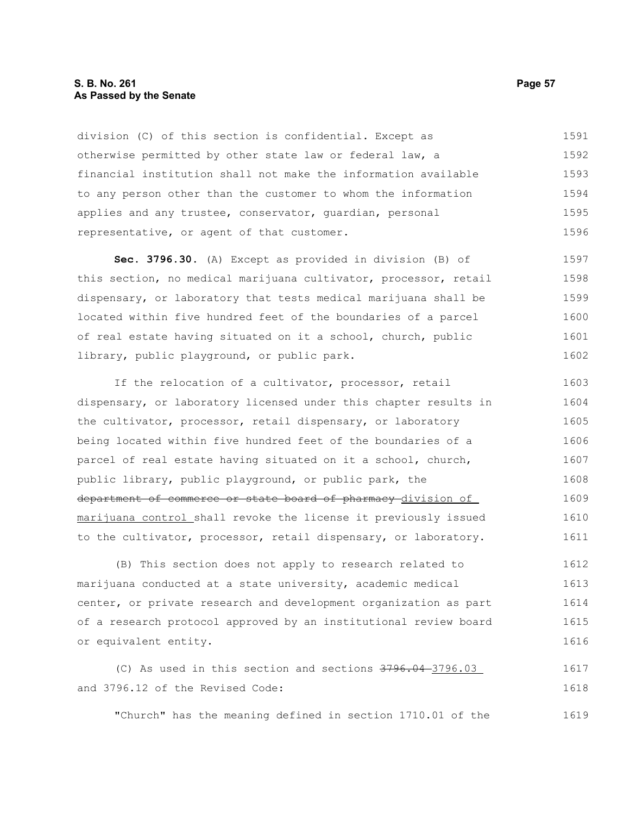#### **S. B. No. 261 Page 57 As Passed by the Senate**

division (C) of this section is confidential. Except as otherwise permitted by other state law or federal law, a financial institution shall not make the information available to any person other than the customer to whom the information applies and any trustee, conservator, guardian, personal representative, or agent of that customer. 1591 1592 1593 1594 1595 1596

**Sec. 3796.30.** (A) Except as provided in division (B) of this section, no medical marijuana cultivator, processor, retail dispensary, or laboratory that tests medical marijuana shall be located within five hundred feet of the boundaries of a parcel of real estate having situated on it a school, church, public library, public playground, or public park. 1597 1598 1599 1600 1601 1602

If the relocation of a cultivator, processor, retail dispensary, or laboratory licensed under this chapter results in the cultivator, processor, retail dispensary, or laboratory being located within five hundred feet of the boundaries of a parcel of real estate having situated on it a school, church, public library, public playground, or public park, the department of commerce or state board of pharmacy division of marijuana control shall revoke the license it previously issued to the cultivator, processor, retail dispensary, or laboratory. 1603 1604 1605 1606 1607 1608 1609 1610 1611

(B) This section does not apply to research related to marijuana conducted at a state university, academic medical center, or private research and development organization as part of a research protocol approved by an institutional review board or equivalent entity. 1612 1613 1614 1615 1616

(C) As used in this section and sections 3796.04 3796.03 and 3796.12 of the Revised Code: 1617 1618

"Church" has the meaning defined in section 1710.01 of the 1619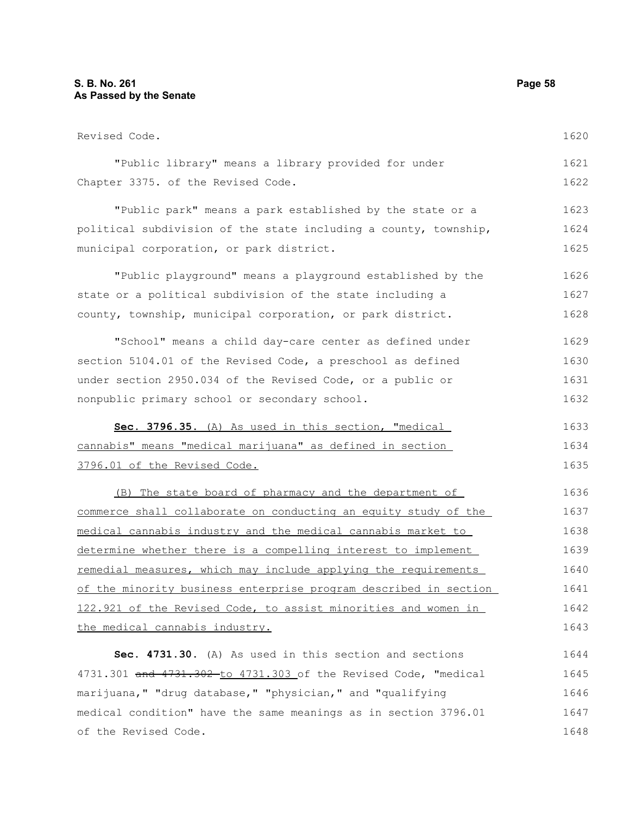### **S. B. No. 261 Page 58 As Passed by the Senate**

| Revised Code.                                                    | 1620 |
|------------------------------------------------------------------|------|
| "Public library" means a library provided for under              | 1621 |
| Chapter 3375. of the Revised Code.                               | 1622 |
| "Public park" means a park established by the state or a         | 1623 |
| political subdivision of the state including a county, township, | 1624 |
| municipal corporation, or park district.                         | 1625 |
| "Public playground" means a playground established by the        | 1626 |
| state or a political subdivision of the state including a        | 1627 |
| county, township, municipal corporation, or park district.       | 1628 |
| "School" means a child day-care center as defined under          | 1629 |
| section 5104.01 of the Revised Code, a preschool as defined      | 1630 |
| under section 2950.034 of the Revised Code, or a public or       | 1631 |
| nonpublic primary school or secondary school.                    | 1632 |
| Sec. 3796.35. (A) As used in this section, "medical              | 1633 |
| cannabis" means "medical marijuana" as defined in section        | 1634 |
| 3796.01 of the Revised Code.                                     | 1635 |
| (B) The state board of pharmacy and the department of            | 1636 |
| commerce shall collaborate on conducting an equity study of the  | 1637 |
| medical cannabis industry and the medical cannabis market to     | 1638 |
| determine whether there is a compelling interest to implement    | 1639 |
| remedial measures, which may include applying the requirements   | 1640 |
| of the minority business enterprise program described in section | 1641 |
| 122.921 of the Revised Code, to assist minorities and women in   | 1642 |
| the medical cannabis industry.                                   | 1643 |
| Sec. 4731.30. (A) As used in this section and sections           | 1644 |
| 4731.301 and 4731.302-to 4731.303 of the Revised Code, "medical  | 1645 |
| marijuana," "drug database," "physician," and "qualifying        | 1646 |
| medical condition" have the same meanings as in section 3796.01  | 1647 |
| of the Revised Code.                                             | 1648 |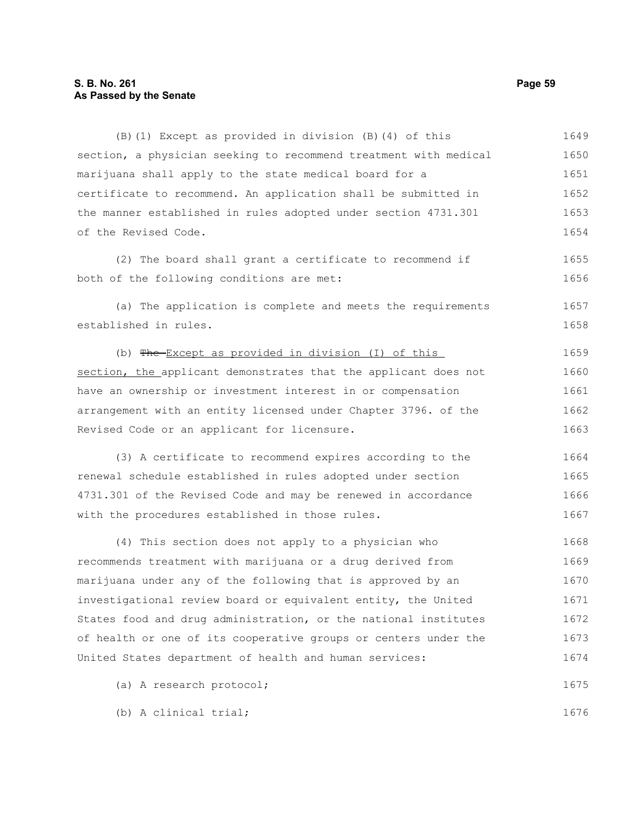#### **S. B. No. 261 Page 59 As Passed by the Senate**

(B)(1) Except as provided in division (B)(4) of this section, a physician seeking to recommend treatment with medical marijuana shall apply to the state medical board for a certificate to recommend. An application shall be submitted in the manner established in rules adopted under section 4731.301 of the Revised Code. (2) The board shall grant a certificate to recommend if both of the following conditions are met: (a) The application is complete and meets the requirements established in rules. (b) The Except as provided in division (I) of this section, the applicant demonstrates that the applicant does not have an ownership or investment interest in or compensation arrangement with an entity licensed under Chapter 3796. of the Revised Code or an applicant for licensure. (3) A certificate to recommend expires according to the renewal schedule established in rules adopted under section 4731.301 of the Revised Code and may be renewed in accordance with the procedures established in those rules. (4) This section does not apply to a physician who recommends treatment with marijuana or a drug derived from marijuana under any of the following that is approved by an investigational review board or equivalent entity, the United States food and drug administration, or the national institutes of health or one of its cooperative groups or centers under the United States department of health and human services: (a) A research protocol; 1649 1650 1651 1652 1653 1654 1655 1656 1657 1658 1659 1660 1661 1662 1663 1664 1665 1666 1667 1668 1669 1670 1671 1672 1673 1674 1675

(b) A clinical trial;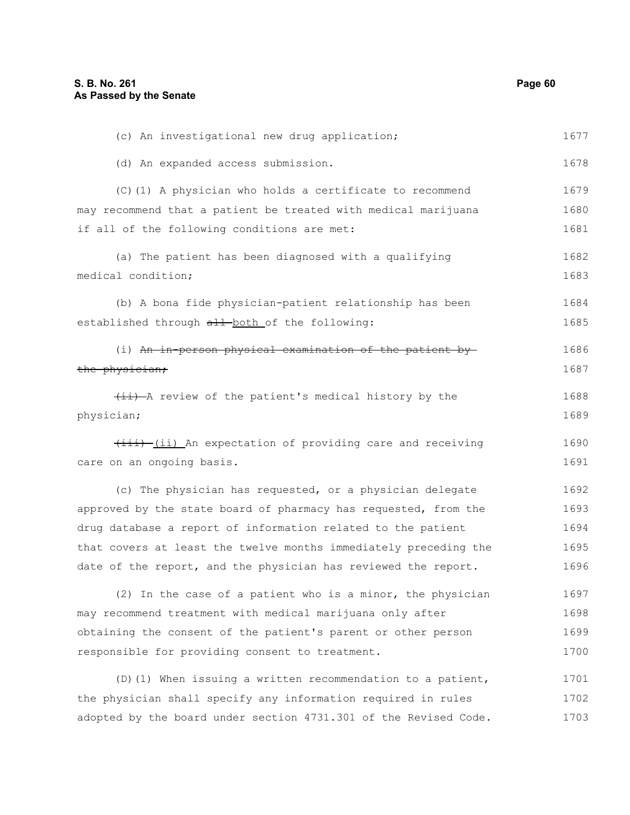(c) An investigational new drug application; (d) An expanded access submission. (C)(1) A physician who holds a certificate to recommend may recommend that a patient be treated with medical marijuana if all of the following conditions are met: (a) The patient has been diagnosed with a qualifying medical condition; (b) A bona fide physician-patient relationship has been established through all both of the following: (i) An in-person physical examination of the patient by the physician;  $(i)$  -A review of the patient's medical history by the physician;  $\overline{(i+i)}$  (ii) An expectation of providing care and receiving care on an ongoing basis. (c) The physician has requested, or a physician delegate approved by the state board of pharmacy has requested, from the drug database a report of information related to the patient that covers at least the twelve months immediately preceding the date of the report, and the physician has reviewed the report. (2) In the case of a patient who is a minor, the physician may recommend treatment with medical marijuana only after obtaining the consent of the patient's parent or other person responsible for providing consent to treatment. 1677 1678 1679 1680 1681 1682 1683 1684 1685 1686 1687 1688 1689 1690 1691 1692 1693 1694 1695 1696 1697 1698 1699 1700

(D)(1) When issuing a written recommendation to a patient, the physician shall specify any information required in rules adopted by the board under section 4731.301 of the Revised Code. 1701 1702 1703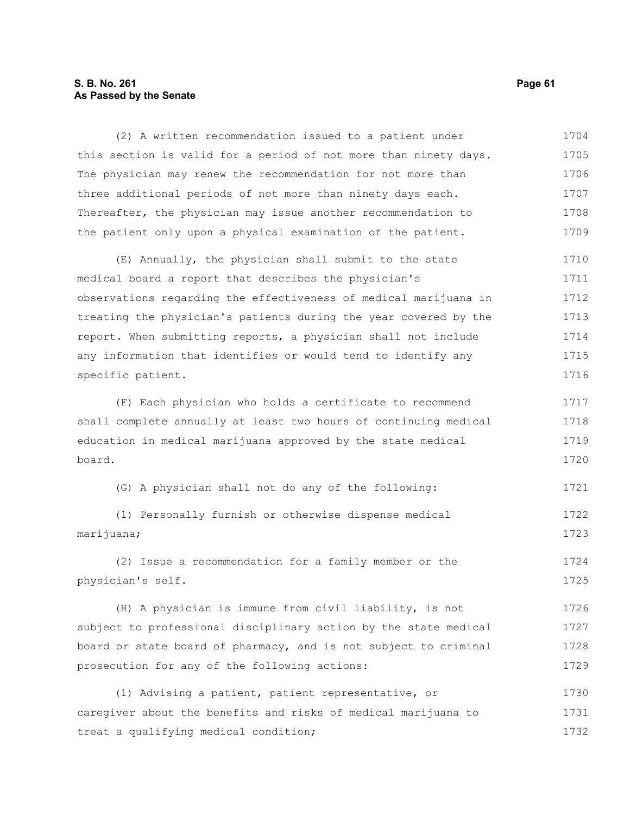#### **S. B. No. 261 Page 61 As Passed by the Senate**

(2) A written recommendation issued to a patient under this section is valid for a period of not more than ninety days. The physician may renew the recommendation for not more than three additional periods of not more than ninety days each. Thereafter, the physician may issue another recommendation to the patient only upon a physical examination of the patient. 1704 1705 1706 1707 1708 1709

(E) Annually, the physician shall submit to the state medical board a report that describes the physician's observations regarding the effectiveness of medical marijuana in treating the physician's patients during the year covered by the report. When submitting reports, a physician shall not include any information that identifies or would tend to identify any specific patient. 1710 1711 1712 1713 1714 1715 1716

(F) Each physician who holds a certificate to recommend shall complete annually at least two hours of continuing medical education in medical marijuana approved by the state medical board. 1717 1718 1719 1720

(G) A physician shall not do any of the following: 1721

(1) Personally furnish or otherwise dispense medical marijuana; 1722 1723

(2) Issue a recommendation for a family member or the physician's self. 1724 1725

(H) A physician is immune from civil liability, is not subject to professional disciplinary action by the state medical board or state board of pharmacy, and is not subject to criminal prosecution for any of the following actions: 1726 1727 1728 1729

(1) Advising a patient, patient representative, or caregiver about the benefits and risks of medical marijuana to treat a qualifying medical condition; 1730 1731 1732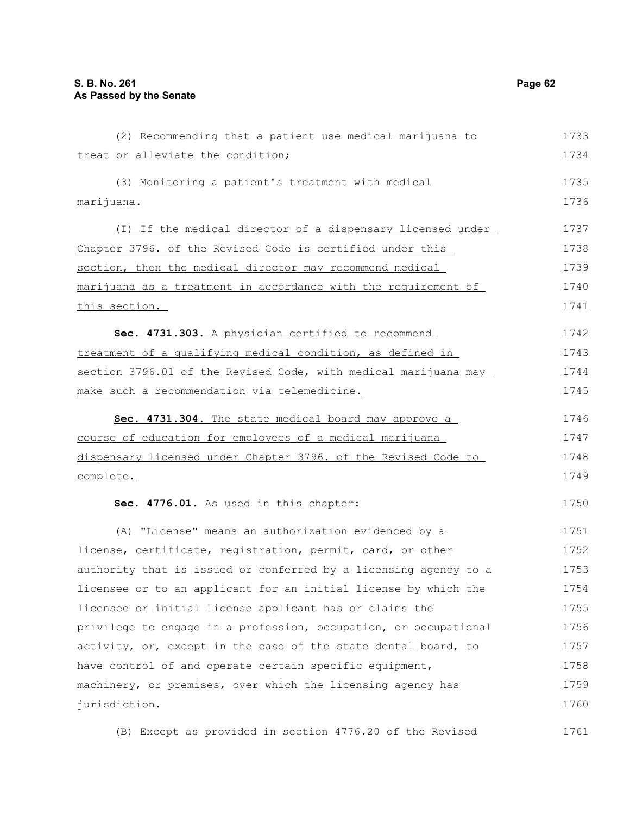(2) Recommending that a patient use medical marijuana to treat or alleviate the condition; (3) Monitoring a patient's treatment with medical marijuana. (I) If the medical director of a dispensary licensed under Chapter 3796. of the Revised Code is certified under this section, then the medical director may recommend medical marijuana as a treatment in accordance with the requirement of this section. **Sec. 4731.303.** A physician certified to recommend treatment of a qualifying medical condition, as defined in section 3796.01 of the Revised Code, with medical marijuana may make such a recommendation via telemedicine. **Sec. 4731.304.** The state medical board may approve a course of education for employees of a medical marijuana dispensary licensed under Chapter 3796. of the Revised Code to complete. **Sec. 4776.01.** As used in this chapter: (A) "License" means an authorization evidenced by a license, certificate, registration, permit, card, or other authority that is issued or conferred by a licensing agency to a licensee or to an applicant for an initial license by which the licensee or initial license applicant has or claims the privilege to engage in a profession, occupation, or occupational activity, or, except in the case of the state dental board, to have control of and operate certain specific equipment, machinery, or premises, over which the licensing agency has jurisdiction. (B) Except as provided in section 4776.20 of the Revised 1733 1734 1735 1736 1737 1738 1739 1740 1741 1742 1743 1744 1745 1746 1747 1748 1749 1750 1751 1752 1753 1754 1755 1756 1757 1758 1759 1760 1761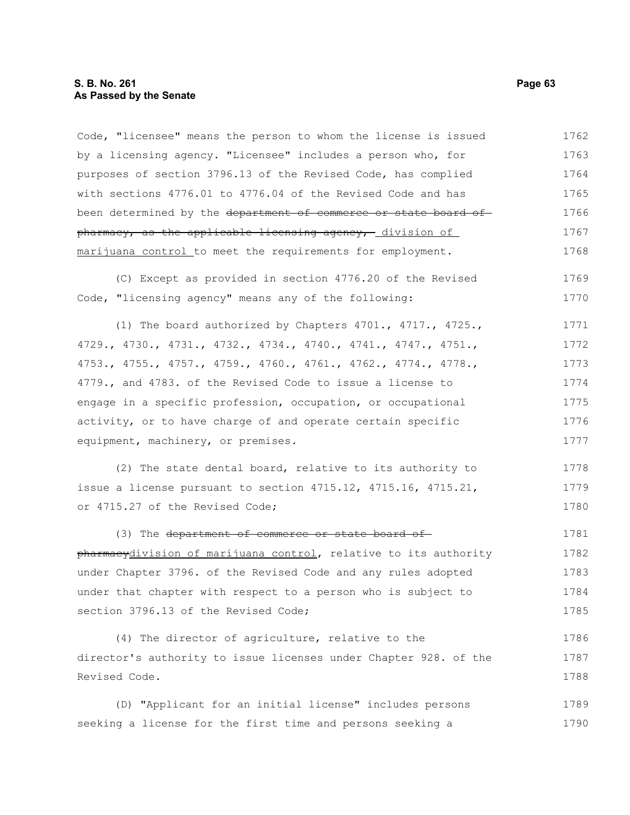#### **S. B. No. 261 Page 63 As Passed by the Senate**

Code, "licensee" means the person to whom the license is issued by a licensing agency. "Licensee" includes a person who, for purposes of section 3796.13 of the Revised Code, has complied with sections 4776.01 to 4776.04 of the Revised Code and has been determined by the department of commerce or state board of pharmacy, as the applicable licensing agency, division of marijuana control to meet the requirements for employment. 1762 1763 1764 1765 1766 1767 1768

(C) Except as provided in section 4776.20 of the Revised Code, "licensing agency" means any of the following: 1769 1770

(1) The board authorized by Chapters 4701., 4717., 4725., 4729., 4730., 4731., 4732., 4734., 4740., 4741., 4747., 4751., 4753., 4755., 4757., 4759., 4760., 4761., 4762., 4774., 4778., 4779., and 4783. of the Revised Code to issue a license to engage in a specific profession, occupation, or occupational activity, or to have charge of and operate certain specific equipment, machinery, or premises. 1771 1772 1773 1774 1775 1776 1777

(2) The state dental board, relative to its authority to issue a license pursuant to section 4715.12, 4715.16, 4715.21, or 4715.27 of the Revised Code; 1778 1779 1780

(3) The department of commerce or state board ofpharmacydivision of marijuana control, relative to its authority under Chapter 3796. of the Revised Code and any rules adopted under that chapter with respect to a person who is subject to section 3796.13 of the Revised Code; 1781 1782 1783 1784 1785

(4) The director of agriculture, relative to the director's authority to issue licenses under Chapter 928. of the Revised Code. 1786 1787 1788

(D) "Applicant for an initial license" includes persons seeking a license for the first time and persons seeking a 1789 1790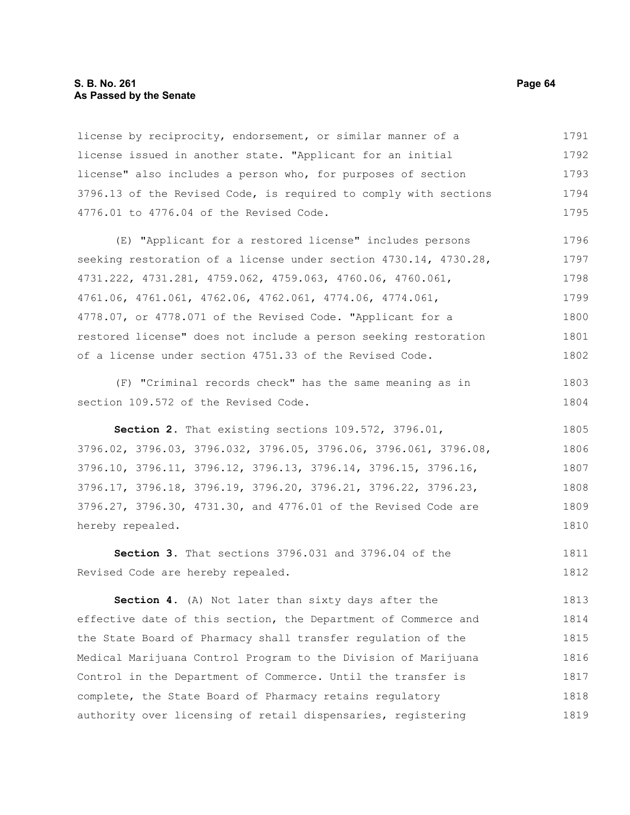#### **S. B. No. 261 Page 64 As Passed by the Senate**

license by reciprocity, endorsement, or similar manner of a license issued in another state. "Applicant for an initial license" also includes a person who, for purposes of section 3796.13 of the Revised Code, is required to comply with sections 4776.01 to 4776.04 of the Revised Code. 1791 1792 1793 1794 1795

(E) "Applicant for a restored license" includes persons seeking restoration of a license under section 4730.14, 4730.28, 4731.222, 4731.281, 4759.062, 4759.063, 4760.06, 4760.061, 4761.06, 4761.061, 4762.06, 4762.061, 4774.06, 4774.061, 4778.07, or 4778.071 of the Revised Code. "Applicant for a restored license" does not include a person seeking restoration of a license under section 4751.33 of the Revised Code. 1796 1797 1798 1799 1800 1801 1802

(F) "Criminal records check" has the same meaning as in section 109.572 of the Revised Code.

**Section 2.** That existing sections 109.572, 3796.01, 3796.02, 3796.03, 3796.032, 3796.05, 3796.06, 3796.061, 3796.08, 3796.10, 3796.11, 3796.12, 3796.13, 3796.14, 3796.15, 3796.16, 3796.17, 3796.18, 3796.19, 3796.20, 3796.21, 3796.22, 3796.23, 3796.27, 3796.30, 4731.30, and 4776.01 of the Revised Code are hereby repealed. 1805 1806 1807 1808 1809 1810

**Section 3.** That sections 3796.031 and 3796.04 of the Revised Code are hereby repealed. 1811 1812

**Section 4.** (A) Not later than sixty days after the effective date of this section, the Department of Commerce and the State Board of Pharmacy shall transfer regulation of the Medical Marijuana Control Program to the Division of Marijuana Control in the Department of Commerce. Until the transfer is complete, the State Board of Pharmacy retains regulatory authority over licensing of retail dispensaries, registering 1813 1814 1815 1816 1817 1818 1819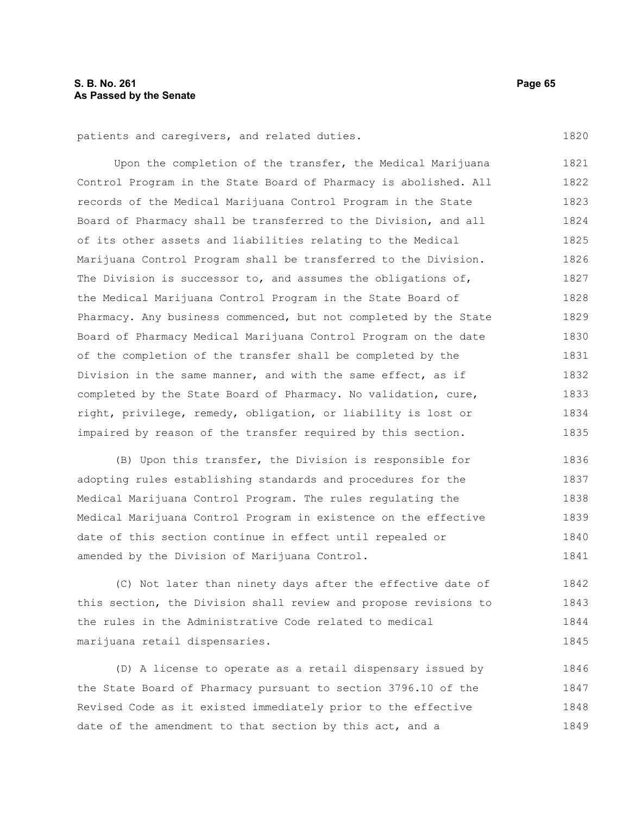patients and caregivers, and related duties.

Upon the completion of the transfer, the Medical Marijuana Control Program in the State Board of Pharmacy is abolished. All records of the Medical Marijuana Control Program in the State Board of Pharmacy shall be transferred to the Division, and all of its other assets and liabilities relating to the Medical Marijuana Control Program shall be transferred to the Division. The Division is successor to, and assumes the obligations of, the Medical Marijuana Control Program in the State Board of Pharmacy. Any business commenced, but not completed by the State Board of Pharmacy Medical Marijuana Control Program on the date of the completion of the transfer shall be completed by the Division in the same manner, and with the same effect, as if completed by the State Board of Pharmacy. No validation, cure, right, privilege, remedy, obligation, or liability is lost or impaired by reason of the transfer required by this section. 1821 1822 1823 1824 1825 1826 1827 1828 1829 1830 1831 1832 1833 1834 1835

(B) Upon this transfer, the Division is responsible for adopting rules establishing standards and procedures for the Medical Marijuana Control Program. The rules regulating the Medical Marijuana Control Program in existence on the effective date of this section continue in effect until repealed or amended by the Division of Marijuana Control. 1836 1837 1838 1839 1840 1841

(C) Not later than ninety days after the effective date of this section, the Division shall review and propose revisions to the rules in the Administrative Code related to medical marijuana retail dispensaries. 1842 1843 1844 1845

(D) A license to operate as a retail dispensary issued by the State Board of Pharmacy pursuant to section 3796.10 of the Revised Code as it existed immediately prior to the effective date of the amendment to that section by this act, and a 1846 1847 1848 1849